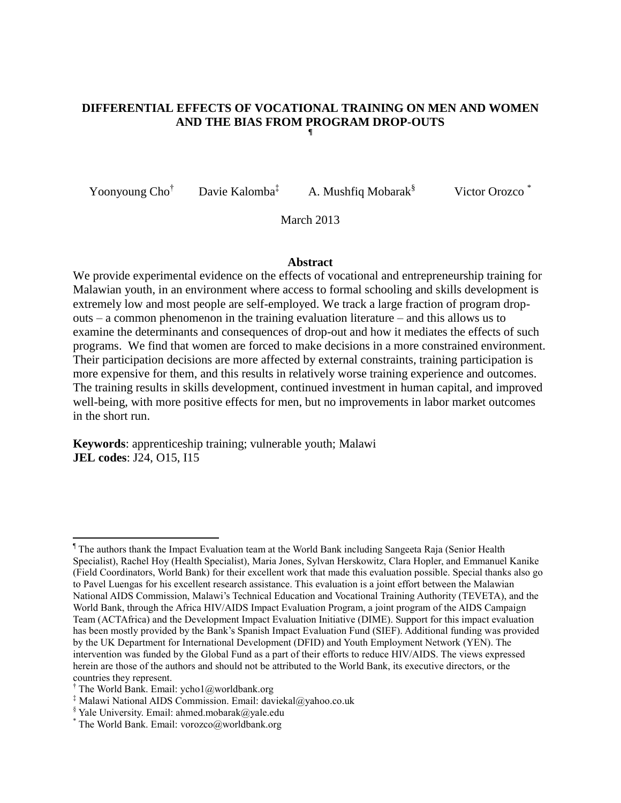#### **DIFFERENTIAL EFFECTS OF VOCATIONAL TRAINING ON MEN AND WOMEN AND THE BIAS FROM PROGRAM DROP-OUTS ¶**

Yoonyoung Cho<sup>†</sup> Davie Kalomba<sup>‡</sup> A. Mushfiq Mobarak<sup>§</sup> Victor Orozco

March 2013

#### **Abstract**

We provide experimental evidence on the effects of vocational and entrepreneurship training for Malawian youth, in an environment where access to formal schooling and skills development is extremely low and most people are self-employed. We track a large fraction of program dropouts – a common phenomenon in the training evaluation literature – and this allows us to examine the determinants and consequences of drop-out and how it mediates the effects of such programs. We find that women are forced to make decisions in a more constrained environment. Their participation decisions are more affected by external constraints, training participation is more expensive for them, and this results in relatively worse training experience and outcomes. The training results in skills development, continued investment in human capital, and improved well-being, with more positive effects for men, but no improvements in labor market outcomes in the short run.

**Keywords**: apprenticeship training; vulnerable youth; Malawi **JEL codes**: J24, O15, I15

 $\overline{\phantom{a}}$ 

<sup>¶</sup> The authors thank the Impact Evaluation team at the World Bank including Sangeeta Raja (Senior Health Specialist), Rachel Hoy (Health Specialist), Maria Jones, Sylvan Herskowitz, Clara Hopler, and Emmanuel Kanike (Field Coordinators, World Bank) for their excellent work that made this evaluation possible. Special thanks also go to Pavel Luengas for his excellent research assistance. This evaluation is a joint effort between the Malawian National AIDS Commission, Malawi's Technical Education and Vocational Training Authority (TEVETA), and the World Bank, through the Africa HIV/AIDS Impact Evaluation Program, a joint program of the AIDS Campaign Team (ACTAfrica) and the Development Impact Evaluation Initiative (DIME). Support for this impact evaluation has been mostly provided by the Bank's Spanish Impact Evaluation Fund (SIEF). Additional funding was provided by the UK Department for International Development (DFID) and Youth Employment Network (YEN). The intervention was funded by the Global Fund as a part of their efforts to reduce HIV/AIDS. The views expressed herein are those of the authors and should not be attributed to the World Bank, its executive directors, or the countries they represent.

<sup>&</sup>lt;sup>†</sup> The World Bank. Email: ycho1@worldbank.org

<sup>‡</sup> Malawi National AIDS Commission. Email: daviekal@yahoo.co.uk

 $\frac{1}{2}$  Yale University. Email: ahmed.mobarak@yale.edu

<sup>\*</sup> The World Bank. Email: vorozco@worldbank.org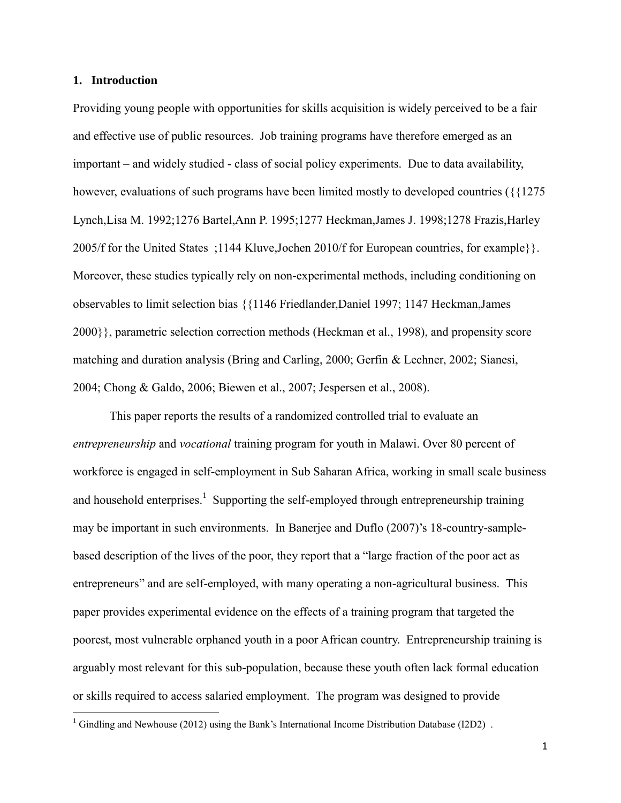### **1. Introduction**

 $\overline{\phantom{a}}$ 

Providing young people with opportunities for skills acquisition is widely perceived to be a fair and effective use of public resources. Job training programs have therefore emerged as an important – and widely studied - class of social policy experiments. Due to data availability, however, evaluations of such programs have been limited mostly to developed countries ( $\{1275$ ) Lynch,Lisa M. 1992;1276 Bartel,Ann P. 1995;1277 Heckman,James J. 1998;1278 Frazis,Harley 2005/f for the United States ;1144 Kluve,Jochen 2010/f for European countries, for example}}. Moreover, these studies typically rely on non-experimental methods, including conditioning on observables to limit selection bias {{1146 Friedlander,Daniel 1997; 1147 Heckman,James 2000}}, parametric selection correction methods (Heckman et al., 1998), and propensity score matching and duration analysis (Bring and Carling, 2000; Gerfin & Lechner, 2002; Sianesi, 2004; Chong & Galdo, 2006; Biewen et al., 2007; Jespersen et al., 2008).

This paper reports the results of a randomized controlled trial to evaluate an *entrepreneurship* and *vocational* training program for youth in Malawi. Over 80 percent of workforce is engaged in self-employment in Sub Saharan Africa, working in small scale business and household enterprises.<sup>1</sup> Supporting the self-employed through entrepreneurship training may be important in such environments. In Banerjee and Duflo (2007)'s 18-country-samplebased description of the lives of the poor, they report that a "large fraction of the poor act as entrepreneurs" and are self-employed, with many operating a non-agricultural business. This paper provides experimental evidence on the effects of a training program that targeted the poorest, most vulnerable orphaned youth in a poor African country. Entrepreneurship training is arguably most relevant for this sub-population, because these youth often lack formal education or skills required to access salaried employment. The program was designed to provide

 $1$  Gindling and Newhouse (2012) using the Bank's International Income Distribution Database (I2D2).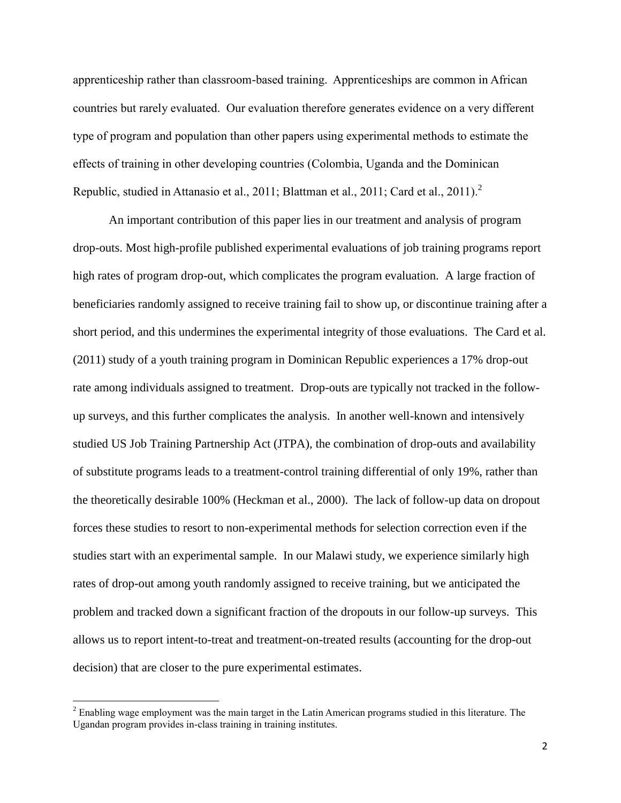apprenticeship rather than classroom-based training. Apprenticeships are common in African countries but rarely evaluated. Our evaluation therefore generates evidence on a very different type of program and population than other papers using experimental methods to estimate the effects of training in other developing countries (Colombia, Uganda and the Dominican Republic, studied in Attanasio et al., 2011; Blattman et al., 2011; Card et al., 2011).<sup>2</sup>

An important contribution of this paper lies in our treatment and analysis of program drop-outs. Most high-profile published experimental evaluations of job training programs report high rates of program drop-out, which complicates the program evaluation. A large fraction of beneficiaries randomly assigned to receive training fail to show up, or discontinue training after a short period, and this undermines the experimental integrity of those evaluations. The Card et al. (2011) study of a youth training program in Dominican Republic experiences a 17% drop-out rate among individuals assigned to treatment. Drop-outs are typically not tracked in the followup surveys, and this further complicates the analysis. In another well-known and intensively studied US Job Training Partnership Act (JTPA), the combination of drop-outs and availability of substitute programs leads to a treatment-control training differential of only 19%, rather than the theoretically desirable 100% (Heckman et al., 2000). The lack of follow-up data on dropout forces these studies to resort to non-experimental methods for selection correction even if the studies start with an experimental sample. In our Malawi study, we experience similarly high rates of drop-out among youth randomly assigned to receive training, but we anticipated the problem and tracked down a significant fraction of the dropouts in our follow-up surveys. This allows us to report intent-to-treat and treatment-on-treated results (accounting for the drop-out decision) that are closer to the pure experimental estimates.

 $\overline{\phantom{a}}$ 

<sup>&</sup>lt;sup>2</sup> Enabling wage employment was the main target in the Latin American programs studied in this literature. The Ugandan program provides in-class training in training institutes.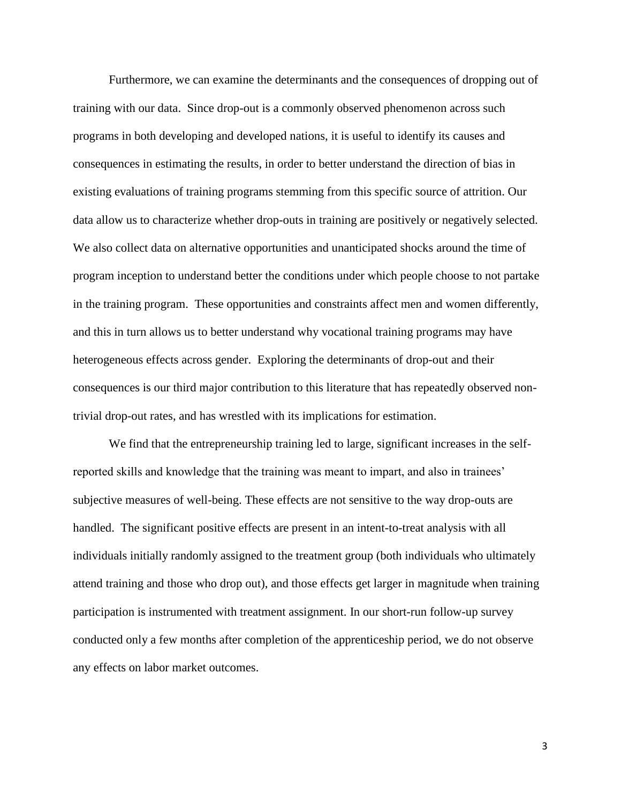Furthermore, we can examine the determinants and the consequences of dropping out of training with our data. Since drop-out is a commonly observed phenomenon across such programs in both developing and developed nations, it is useful to identify its causes and consequences in estimating the results, in order to better understand the direction of bias in existing evaluations of training programs stemming from this specific source of attrition. Our data allow us to characterize whether drop-outs in training are positively or negatively selected. We also collect data on alternative opportunities and unanticipated shocks around the time of program inception to understand better the conditions under which people choose to not partake in the training program. These opportunities and constraints affect men and women differently, and this in turn allows us to better understand why vocational training programs may have heterogeneous effects across gender. Exploring the determinants of drop-out and their consequences is our third major contribution to this literature that has repeatedly observed nontrivial drop-out rates, and has wrestled with its implications for estimation.

We find that the entrepreneurship training led to large, significant increases in the selfreported skills and knowledge that the training was meant to impart, and also in trainees' subjective measures of well-being. These effects are not sensitive to the way drop-outs are handled. The significant positive effects are present in an intent-to-treat analysis with all individuals initially randomly assigned to the treatment group (both individuals who ultimately attend training and those who drop out), and those effects get larger in magnitude when training participation is instrumented with treatment assignment. In our short-run follow-up survey conducted only a few months after completion of the apprenticeship period, we do not observe any effects on labor market outcomes.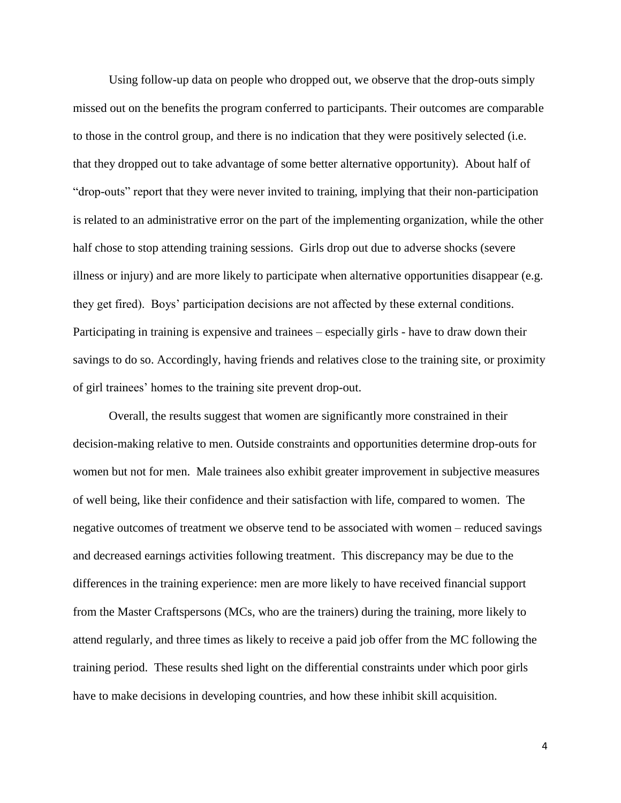Using follow-up data on people who dropped out, we observe that the drop-outs simply missed out on the benefits the program conferred to participants. Their outcomes are comparable to those in the control group, and there is no indication that they were positively selected (i.e. that they dropped out to take advantage of some better alternative opportunity). About half of "drop-outs" report that they were never invited to training, implying that their non-participation is related to an administrative error on the part of the implementing organization, while the other half chose to stop attending training sessions. Girls drop out due to adverse shocks (severe illness or injury) and are more likely to participate when alternative opportunities disappear (e.g. they get fired). Boys' participation decisions are not affected by these external conditions. Participating in training is expensive and trainees – especially girls - have to draw down their savings to do so. Accordingly, having friends and relatives close to the training site, or proximity of girl trainees' homes to the training site prevent drop-out.

Overall, the results suggest that women are significantly more constrained in their decision-making relative to men. Outside constraints and opportunities determine drop-outs for women but not for men. Male trainees also exhibit greater improvement in subjective measures of well being, like their confidence and their satisfaction with life, compared to women. The negative outcomes of treatment we observe tend to be associated with women – reduced savings and decreased earnings activities following treatment. This discrepancy may be due to the differences in the training experience: men are more likely to have received financial support from the Master Craftspersons (MCs, who are the trainers) during the training, more likely to attend regularly, and three times as likely to receive a paid job offer from the MC following the training period. These results shed light on the differential constraints under which poor girls have to make decisions in developing countries, and how these inhibit skill acquisition.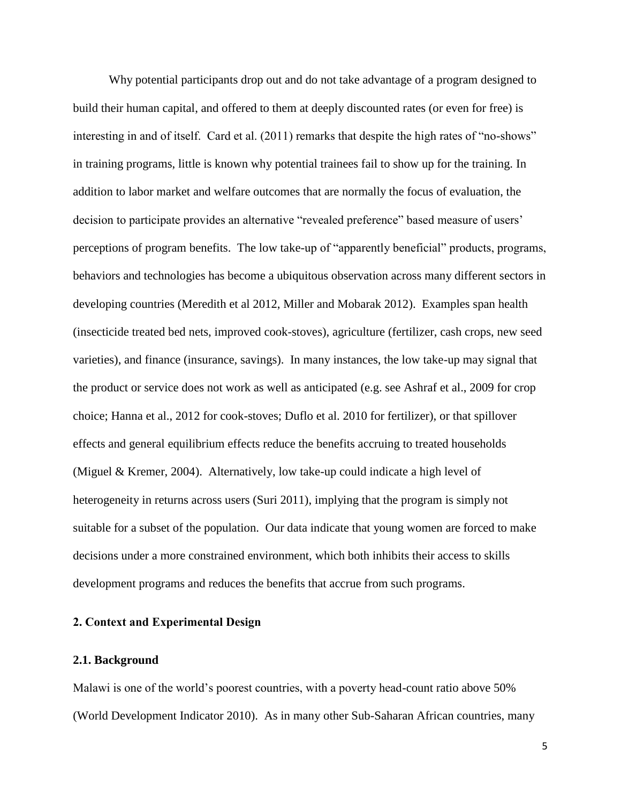Why potential participants drop out and do not take advantage of a program designed to build their human capital, and offered to them at deeply discounted rates (or even for free) is interesting in and of itself. Card et al. (2011) remarks that despite the high rates of "no-shows" in training programs, little is known why potential trainees fail to show up for the training. In addition to labor market and welfare outcomes that are normally the focus of evaluation, the decision to participate provides an alternative "revealed preference" based measure of users' perceptions of program benefits. The low take-up of "apparently beneficial" products, programs, behaviors and technologies has become a ubiquitous observation across many different sectors in developing countries (Meredith et al 2012, Miller and Mobarak 2012). Examples span health (insecticide treated bed nets, improved cook-stoves), agriculture (fertilizer, cash crops, new seed varieties), and finance (insurance, savings). In many instances, the low take-up may signal that the product or service does not work as well as anticipated (e.g. see Ashraf et al., 2009 for crop choice; Hanna et al., 2012 for cook-stoves; Duflo et al. 2010 for fertilizer), or that spillover effects and general equilibrium effects reduce the benefits accruing to treated households (Miguel & Kremer, 2004). Alternatively, low take-up could indicate a high level of heterogeneity in returns across users (Suri 2011), implying that the program is simply not suitable for a subset of the population. Our data indicate that young women are forced to make decisions under a more constrained environment, which both inhibits their access to skills development programs and reduces the benefits that accrue from such programs.

### **2. Context and Experimental Design**

### **2.1. Background**

Malawi is one of the world's poorest countries, with a poverty head-count ratio above 50% (World Development Indicator 2010). As in many other Sub-Saharan African countries, many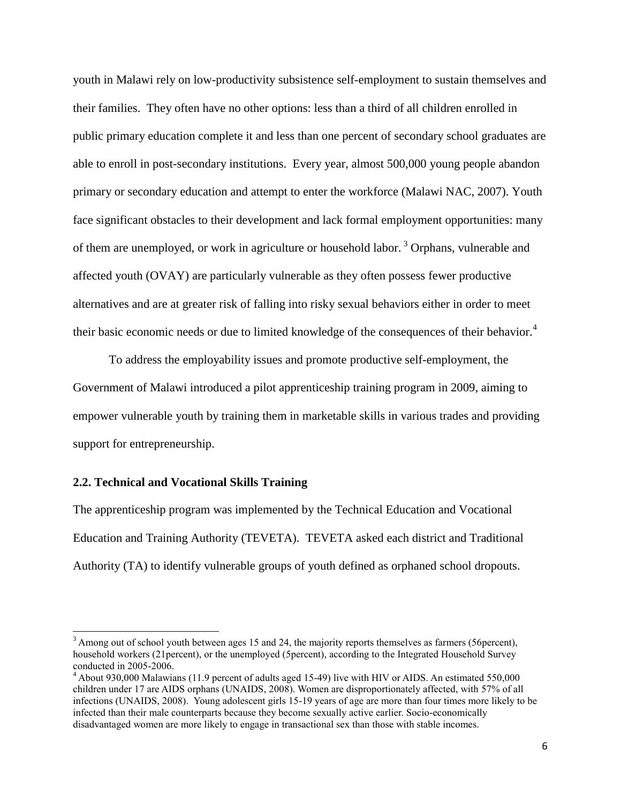youth in Malawi rely on low-productivity subsistence self-employment to sustain themselves and their families. They often have no other options: less than a third of all children enrolled in public primary education complete it and less than one percent of secondary school graduates are able to enroll in post-secondary institutions. Every year, almost 500,000 young people abandon primary or secondary education and attempt to enter the workforce (Malawi NAC, 2007). Youth face significant obstacles to their development and lack formal employment opportunities: many of them are unemployed, or work in agriculture or household labor. <sup>3</sup> Orphans, vulnerable and affected youth (OVAY) are particularly vulnerable as they often possess fewer productive alternatives and are at greater risk of falling into risky sexual behaviors either in order to meet their basic economic needs or due to limited knowledge of the consequences of their behavior.<sup>4</sup>

To address the employability issues and promote productive self-employment, the Government of Malawi introduced a pilot apprenticeship training program in 2009, aiming to empower vulnerable youth by training them in marketable skills in various trades and providing support for entrepreneurship.

## **2.2. Technical and Vocational Skills Training**

 $\overline{a}$ 

The apprenticeship program was implemented by the Technical Education and Vocational Education and Training Authority (TEVETA). TEVETA asked each district and Traditional Authority (TA) to identify vulnerable groups of youth defined as orphaned school dropouts.

 $3$  Among out of school youth between ages 15 and 24, the majority reports themselves as farmers (56 percent), household workers (21percent), or the unemployed (5percent), according to the Integrated Household Survey conducted in 2005-2006.

<sup>4</sup> About 930,000 Malawians (11.9 percent of adults aged 15-49) live with HIV or AIDS. An estimated 550,000 children under 17 are AIDS orphans (UNAIDS, 2008). Women are disproportionately affected, with 57% of all infections (UNAIDS, 2008). Young adolescent girls 15-19 years of age are more than four times more likely to be infected than their male counterparts because they become sexually active earlier. Socio-economically disadvantaged women are more likely to engage in transactional sex than those with stable incomes.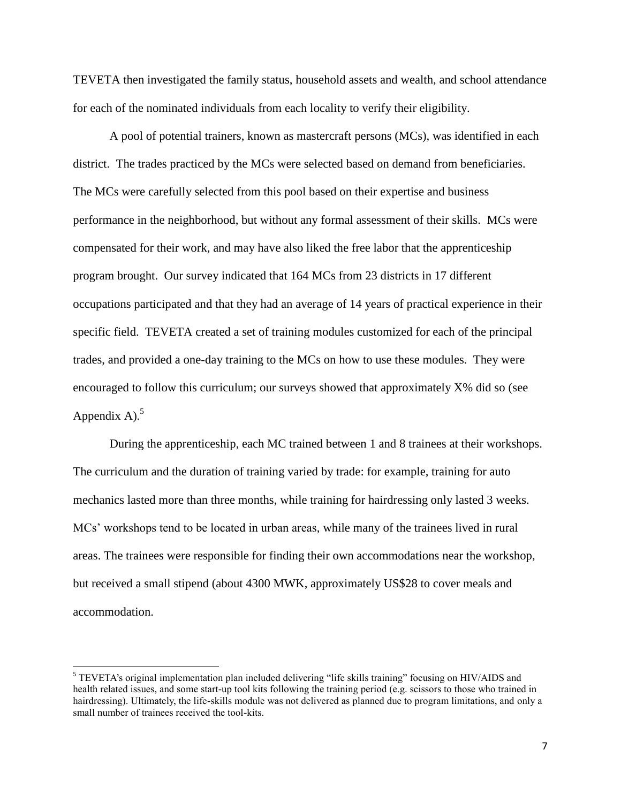TEVETA then investigated the family status, household assets and wealth, and school attendance for each of the nominated individuals from each locality to verify their eligibility.

A pool of potential trainers, known as mastercraft persons (MCs), was identified in each district. The trades practiced by the MCs were selected based on demand from beneficiaries. The MCs were carefully selected from this pool based on their expertise and business performance in the neighborhood, but without any formal assessment of their skills. MCs were compensated for their work, and may have also liked the free labor that the apprenticeship program brought. Our survey indicated that 164 MCs from 23 districts in 17 different occupations participated and that they had an average of 14 years of practical experience in their specific field. TEVETA created a set of training modules customized for each of the principal trades, and provided a one-day training to the MCs on how to use these modules. They were encouraged to follow this curriculum; our surveys showed that approximately X% did so (see Appendix A). $5$ 

During the apprenticeship, each MC trained between 1 and 8 trainees at their workshops. The curriculum and the duration of training varied by trade: for example, training for auto mechanics lasted more than three months, while training for hairdressing only lasted 3 weeks. MCs' workshops tend to be located in urban areas, while many of the trainees lived in rural areas. The trainees were responsible for finding their own accommodations near the workshop, but received a small stipend (about 4300 MWK, approximately US\$28 to cover meals and accommodation.

 $\overline{a}$ 

<sup>&</sup>lt;sup>5</sup> TEVETA's original implementation plan included delivering "life skills training" focusing on HIV/AIDS and health related issues, and some start-up tool kits following the training period (e.g. scissors to those who trained in hairdressing). Ultimately, the life-skills module was not delivered as planned due to program limitations, and only a small number of trainees received the tool-kits.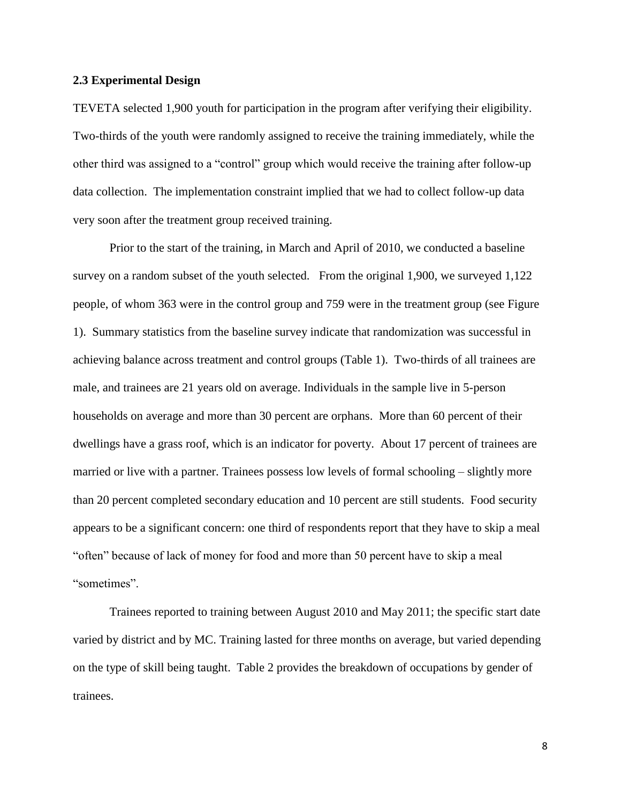### **2.3 Experimental Design**

TEVETA selected 1,900 youth for participation in the program after verifying their eligibility. Two-thirds of the youth were randomly assigned to receive the training immediately, while the other third was assigned to a "control" group which would receive the training after follow-up data collection. The implementation constraint implied that we had to collect follow-up data very soon after the treatment group received training.

Prior to the start of the training, in March and April of 2010, we conducted a baseline survey on a random subset of the youth selected. From the original 1,900, we surveyed 1,122 people, of whom 363 were in the control group and 759 were in the treatment group (see Figure 1). Summary statistics from the baseline survey indicate that randomization was successful in achieving balance across treatment and control groups (Table 1). Two-thirds of all trainees are male, and trainees are 21 years old on average. Individuals in the sample live in 5-person households on average and more than 30 percent are orphans. More than 60 percent of their dwellings have a grass roof, which is an indicator for poverty. About 17 percent of trainees are married or live with a partner. Trainees possess low levels of formal schooling – slightly more than 20 percent completed secondary education and 10 percent are still students. Food security appears to be a significant concern: one third of respondents report that they have to skip a meal "often" because of lack of money for food and more than 50 percent have to skip a meal "sometimes".

Trainees reported to training between August 2010 and May 2011; the specific start date varied by district and by MC. Training lasted for three months on average, but varied depending on the type of skill being taught. Table 2 provides the breakdown of occupations by gender of trainees.

8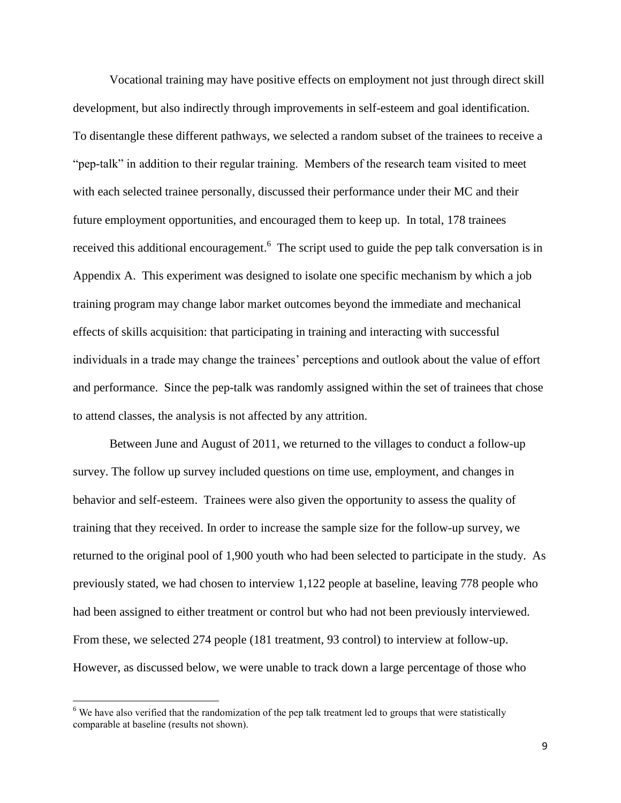Vocational training may have positive effects on employment not just through direct skill development, but also indirectly through improvements in self-esteem and goal identification. To disentangle these different pathways, we selected a random subset of the trainees to receive a "pep-talk" in addition to their regular training. Members of the research team visited to meet with each selected trainee personally, discussed their performance under their MC and their future employment opportunities, and encouraged them to keep up. In total, 178 trainees received this additional encouragement.<sup>6</sup> The script used to guide the pep talk conversation is in Appendix A. This experiment was designed to isolate one specific mechanism by which a job training program may change labor market outcomes beyond the immediate and mechanical effects of skills acquisition: that participating in training and interacting with successful individuals in a trade may change the trainees' perceptions and outlook about the value of effort and performance. Since the pep-talk was randomly assigned within the set of trainees that chose to attend classes, the analysis is not affected by any attrition.

Between June and August of 2011, we returned to the villages to conduct a follow-up survey. The follow up survey included questions on time use, employment, and changes in behavior and self-esteem. Trainees were also given the opportunity to assess the quality of training that they received. In order to increase the sample size for the follow-up survey, we returned to the original pool of 1,900 youth who had been selected to participate in the study. As previously stated, we had chosen to interview 1,122 people at baseline, leaving 778 people who had been assigned to either treatment or control but who had not been previously interviewed. From these, we selected 274 people (181 treatment, 93 control) to interview at follow-up. However, as discussed below, we were unable to track down a large percentage of those who

 $\overline{\phantom{a}}$ 

<sup>&</sup>lt;sup>6</sup> We have also verified that the randomization of the pep talk treatment led to groups that were statistically comparable at baseline (results not shown).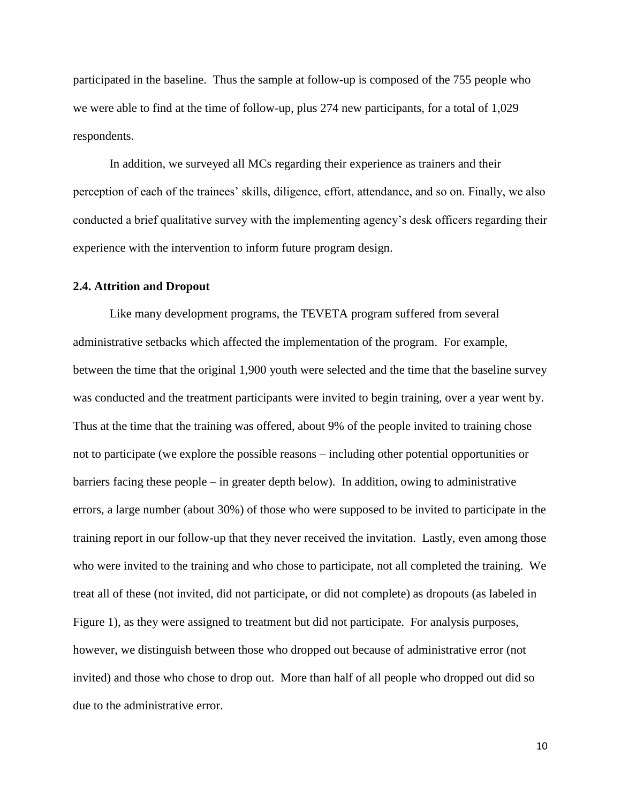participated in the baseline. Thus the sample at follow-up is composed of the 755 people who we were able to find at the time of follow-up, plus 274 new participants, for a total of 1,029 respondents.

In addition, we surveyed all MCs regarding their experience as trainers and their perception of each of the trainees' skills, diligence, effort, attendance, and so on. Finally, we also conducted a brief qualitative survey with the implementing agency's desk officers regarding their experience with the intervention to inform future program design.

### **2.4. Attrition and Dropout**

Like many development programs, the TEVETA program suffered from several administrative setbacks which affected the implementation of the program. For example, between the time that the original 1,900 youth were selected and the time that the baseline survey was conducted and the treatment participants were invited to begin training, over a year went by. Thus at the time that the training was offered, about 9% of the people invited to training chose not to participate (we explore the possible reasons – including other potential opportunities or barriers facing these people – in greater depth below). In addition, owing to administrative errors, a large number (about 30%) of those who were supposed to be invited to participate in the training report in our follow-up that they never received the invitation. Lastly, even among those who were invited to the training and who chose to participate, not all completed the training. We treat all of these (not invited, did not participate, or did not complete) as dropouts (as labeled in Figure 1), as they were assigned to treatment but did not participate. For analysis purposes, however, we distinguish between those who dropped out because of administrative error (not invited) and those who chose to drop out. More than half of all people who dropped out did so due to the administrative error.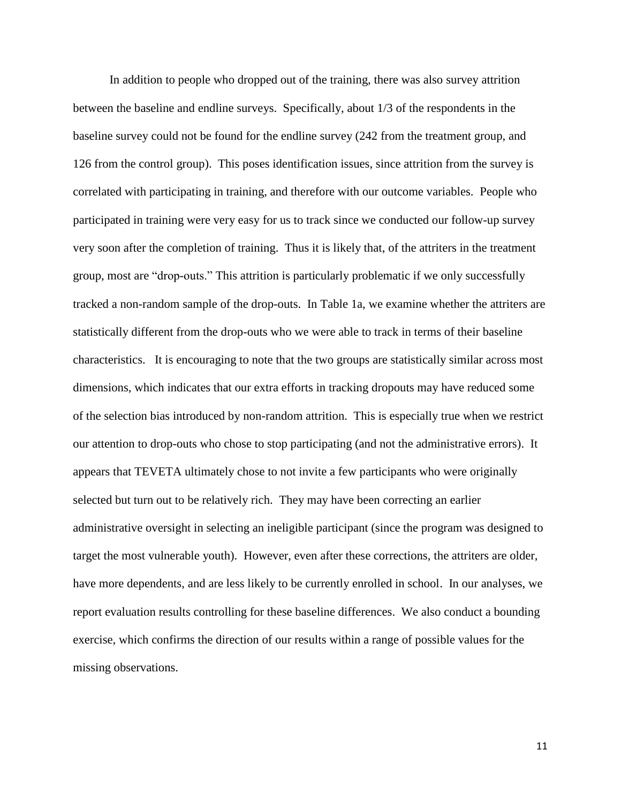In addition to people who dropped out of the training, there was also survey attrition between the baseline and endline surveys. Specifically, about 1/3 of the respondents in the baseline survey could not be found for the endline survey (242 from the treatment group, and 126 from the control group). This poses identification issues, since attrition from the survey is correlated with participating in training, and therefore with our outcome variables. People who participated in training were very easy for us to track since we conducted our follow-up survey very soon after the completion of training. Thus it is likely that, of the attriters in the treatment group, most are "drop-outs." This attrition is particularly problematic if we only successfully tracked a non-random sample of the drop-outs. In Table 1a, we examine whether the attriters are statistically different from the drop-outs who we were able to track in terms of their baseline characteristics. It is encouraging to note that the two groups are statistically similar across most dimensions, which indicates that our extra efforts in tracking dropouts may have reduced some of the selection bias introduced by non-random attrition. This is especially true when we restrict our attention to drop-outs who chose to stop participating (and not the administrative errors). It appears that TEVETA ultimately chose to not invite a few participants who were originally selected but turn out to be relatively rich. They may have been correcting an earlier administrative oversight in selecting an ineligible participant (since the program was designed to target the most vulnerable youth). However, even after these corrections, the attriters are older, have more dependents, and are less likely to be currently enrolled in school. In our analyses, we report evaluation results controlling for these baseline differences. We also conduct a bounding exercise, which confirms the direction of our results within a range of possible values for the missing observations.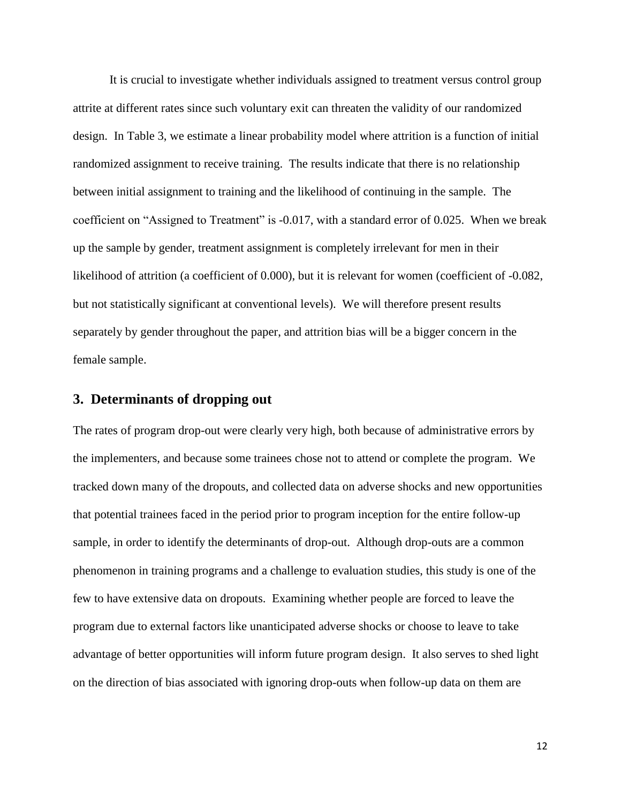It is crucial to investigate whether individuals assigned to treatment versus control group attrite at different rates since such voluntary exit can threaten the validity of our randomized design. In Table 3, we estimate a linear probability model where attrition is a function of initial randomized assignment to receive training. The results indicate that there is no relationship between initial assignment to training and the likelihood of continuing in the sample. The coefficient on "Assigned to Treatment" is -0.017, with a standard error of 0.025. When we break up the sample by gender, treatment assignment is completely irrelevant for men in their likelihood of attrition (a coefficient of 0.000), but it is relevant for women (coefficient of -0.082, but not statistically significant at conventional levels). We will therefore present results separately by gender throughout the paper, and attrition bias will be a bigger concern in the female sample.

# **3. Determinants of dropping out**

The rates of program drop-out were clearly very high, both because of administrative errors by the implementers, and because some trainees chose not to attend or complete the program. We tracked down many of the dropouts, and collected data on adverse shocks and new opportunities that potential trainees faced in the period prior to program inception for the entire follow-up sample, in order to identify the determinants of drop-out. Although drop-outs are a common phenomenon in training programs and a challenge to evaluation studies, this study is one of the few to have extensive data on dropouts. Examining whether people are forced to leave the program due to external factors like unanticipated adverse shocks or choose to leave to take advantage of better opportunities will inform future program design. It also serves to shed light on the direction of bias associated with ignoring drop-outs when follow-up data on them are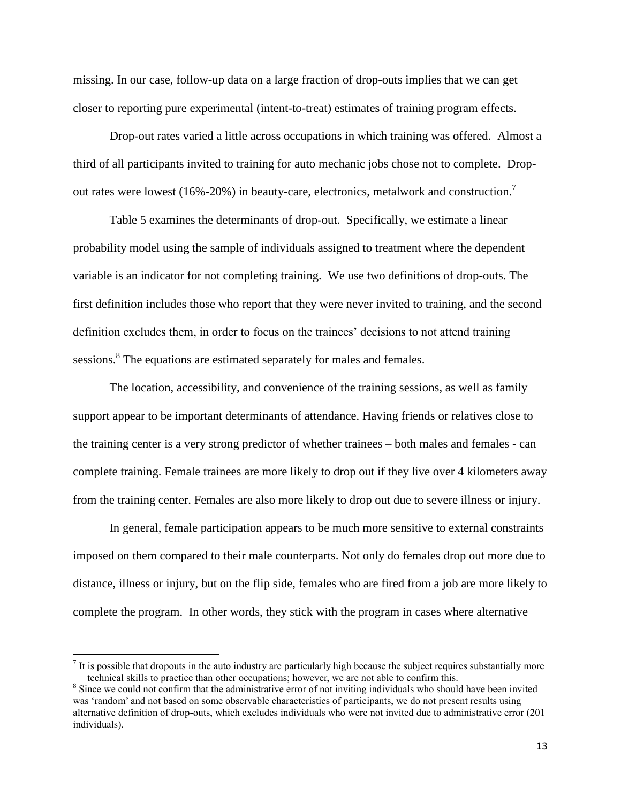missing. In our case, follow-up data on a large fraction of drop-outs implies that we can get closer to reporting pure experimental (intent-to-treat) estimates of training program effects.

Drop-out rates varied a little across occupations in which training was offered. Almost a third of all participants invited to training for auto mechanic jobs chose not to complete. Dropout rates were lowest (16%-20%) in beauty-care, electronics, metalwork and construction.<sup>7</sup>

Table 5 examines the determinants of drop-out. Specifically, we estimate a linear probability model using the sample of individuals assigned to treatment where the dependent variable is an indicator for not completing training. We use two definitions of drop-outs. The first definition includes those who report that they were never invited to training, and the second definition excludes them, in order to focus on the trainees' decisions to not attend training sessions.<sup>8</sup> The equations are estimated separately for males and females.

The location, accessibility, and convenience of the training sessions, as well as family support appear to be important determinants of attendance. Having friends or relatives close to the training center is a very strong predictor of whether trainees – both males and females - can complete training. Female trainees are more likely to drop out if they live over 4 kilometers away from the training center. Females are also more likely to drop out due to severe illness or injury.

In general, female participation appears to be much more sensitive to external constraints imposed on them compared to their male counterparts. Not only do females drop out more due to distance, illness or injury, but on the flip side, females who are fired from a job are more likely to complete the program. In other words, they stick with the program in cases where alternative

l

 $<sup>7</sup>$  It is possible that dropouts in the auto industry are particularly high because the subject requires substantially more</sup> technical skills to practice than other occupations; however, we are not able to confirm this.

<sup>&</sup>lt;sup>8</sup> Since we could not confirm that the administrative error of not inviting individuals who should have been invited was 'random' and not based on some observable characteristics of participants, we do not present results using alternative definition of drop-outs, which excludes individuals who were not invited due to administrative error (201 individuals).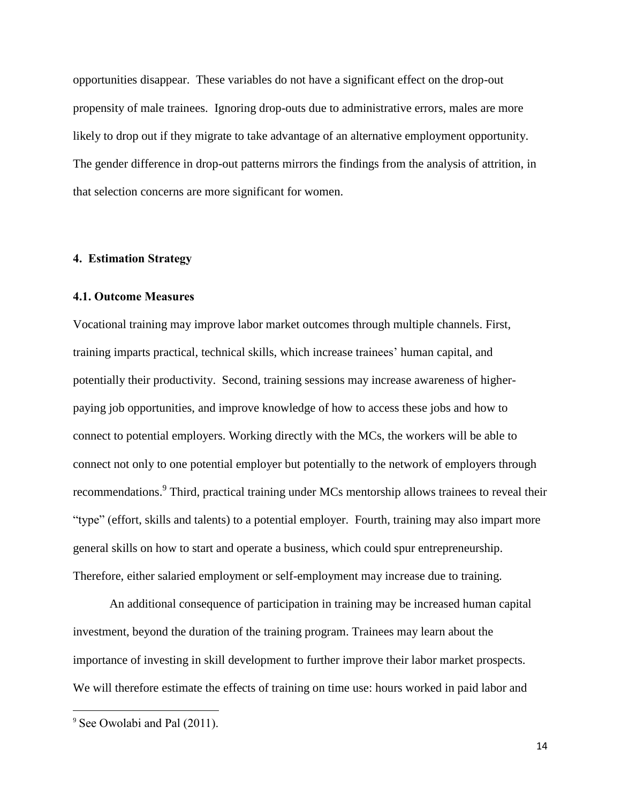opportunities disappear. These variables do not have a significant effect on the drop-out propensity of male trainees. Ignoring drop-outs due to administrative errors, males are more likely to drop out if they migrate to take advantage of an alternative employment opportunity. The gender difference in drop-out patterns mirrors the findings from the analysis of attrition, in that selection concerns are more significant for women.

### **4. Estimation Strategy**

#### **4.1. Outcome Measures**

Vocational training may improve labor market outcomes through multiple channels. First, training imparts practical, technical skills, which increase trainees' human capital, and potentially their productivity. Second, training sessions may increase awareness of higherpaying job opportunities, and improve knowledge of how to access these jobs and how to connect to potential employers. Working directly with the MCs, the workers will be able to connect not only to one potential employer but potentially to the network of employers through recommendations.<sup>9</sup> Third, practical training under MCs mentorship allows trainees to reveal their "type" (effort, skills and talents) to a potential employer. Fourth, training may also impart more general skills on how to start and operate a business, which could spur entrepreneurship. Therefore, either salaried employment or self-employment may increase due to training.

An additional consequence of participation in training may be increased human capital investment, beyond the duration of the training program. Trainees may learn about the importance of investing in skill development to further improve their labor market prospects. We will therefore estimate the effects of training on time use: hours worked in paid labor and

 $\overline{\phantom{a}}$ 

<sup>&</sup>lt;sup>9</sup> See Owolabi and Pal (2011).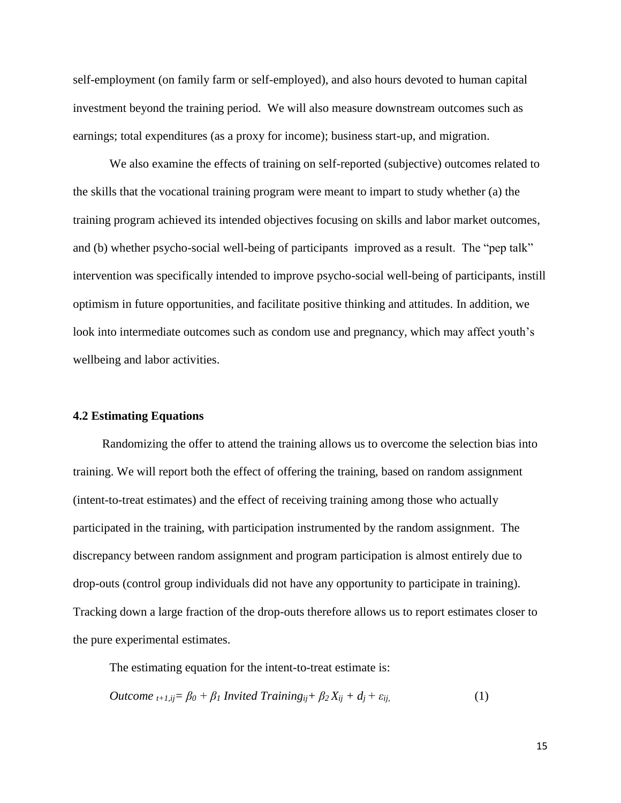self-employment (on family farm or self-employed), and also hours devoted to human capital investment beyond the training period. We will also measure downstream outcomes such as earnings; total expenditures (as a proxy for income); business start-up, and migration.

We also examine the effects of training on self-reported (subjective) outcomes related to the skills that the vocational training program were meant to impart to study whether (a) the training program achieved its intended objectives focusing on skills and labor market outcomes, and (b) whether psycho-social well-being of participants improved as a result. The "pep talk" intervention was specifically intended to improve psycho-social well-being of participants, instill optimism in future opportunities, and facilitate positive thinking and attitudes. In addition, we look into intermediate outcomes such as condom use and pregnancy, which may affect youth's wellbeing and labor activities.

#### **4.2 Estimating Equations**

Randomizing the offer to attend the training allows us to overcome the selection bias into training. We will report both the effect of offering the training, based on random assignment (intent-to-treat estimates) and the effect of receiving training among those who actually participated in the training, with participation instrumented by the random assignment. The discrepancy between random assignment and program participation is almost entirely due to drop-outs (control group individuals did not have any opportunity to participate in training). Tracking down a large fraction of the drop-outs therefore allows us to report estimates closer to the pure experimental estimates.

The estimating equation for the intent-to-treat estimate is:

*Outcome* 
$$
_{t+1,ij} = \beta_0 + \beta_1
$$
 *Invited Training*  $_{ij} + \beta_2 X_{ij} + d_j + \varepsilon_{ij}$ , (1)

15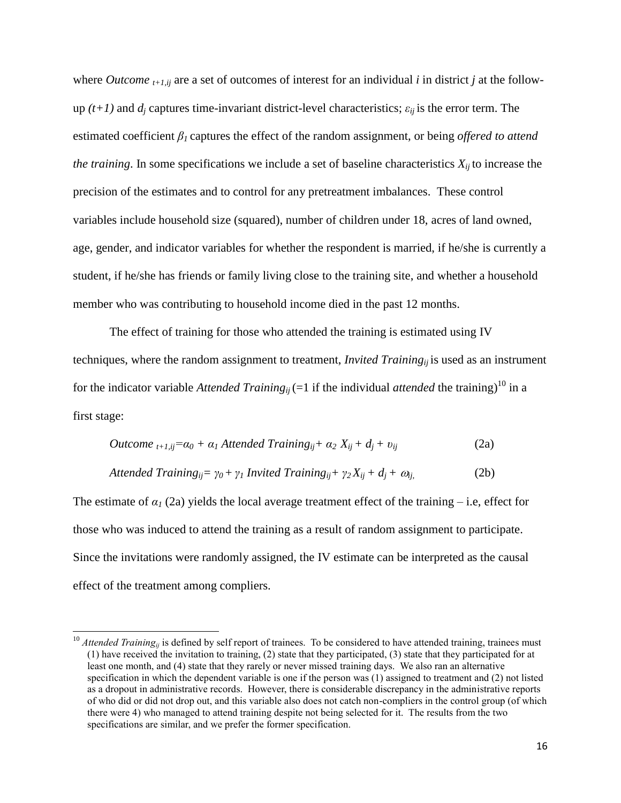where *Outcome*  $_{t+1,ii}$  are a set of outcomes of interest for an individual *i* in district *j* at the followup  $(t+1)$  and  $d_i$  captures time-invariant district-level characteristics;  $\varepsilon_{ii}$  is the error term. The estimated coefficient  $\beta_l$  captures the effect of the random assignment, or being *offered to attend the training*. In some specifications we include a set of baseline characteristics  $X_{ii}$  to increase the precision of the estimates and to control for any pretreatment imbalances. These control variables include household size (squared), number of children under 18, acres of land owned, age, gender, and indicator variables for whether the respondent is married, if he/she is currently a student, if he/she has friends or family living close to the training site, and whether a household member who was contributing to household income died in the past 12 months.

The effect of training for those who attended the training is estimated using IV techniques, where the random assignment to treatment, *Invited Trainingij* is used as an instrument for the indicator variable *Attended Trainingij* (=1 if the individual *attended* the training) <sup>10</sup> in a first stage:

$$
Outcome_{t+1,ij}=a_0+\alpha_1
$$
 *Attended Training*<sub>ij</sub>+  $\alpha_2$   $X_{ij}+d_j+\nu_{ij}$  (2a)

$$
Attended Training_{ij} = \gamma_0 + \gamma_1 \text{ Invited Training}_{ij} + \gamma_2 X_{ij} + d_j + \omega_{ij}, \tag{2b}
$$

The estimate of  $\alpha$ <sup>1</sup> (2a) yields the local average treatment effect of the training – i.e, effect for those who was induced to attend the training as a result of random assignment to participate. Since the invitations were randomly assigned, the IV estimate can be interpreted as the causal effect of the treatment among compliers.

 $\overline{a}$ 

<sup>&</sup>lt;sup>10</sup> *Attended Training<sub>ij</sub>* is defined by self report of trainees. To be considered to have attended training, trainees must (1) have received the invitation to training, (2) state that they participated, (3) state that they participated for at least one month, and (4) state that they rarely or never missed training days. We also ran an alternative specification in which the dependent variable is one if the person was (1) assigned to treatment and (2) not listed as a dropout in administrative records. However, there is considerable discrepancy in the administrative reports of who did or did not drop out, and this variable also does not catch non-compliers in the control group (of which there were 4) who managed to attend training despite not being selected for it. The results from the two specifications are similar, and we prefer the former specification.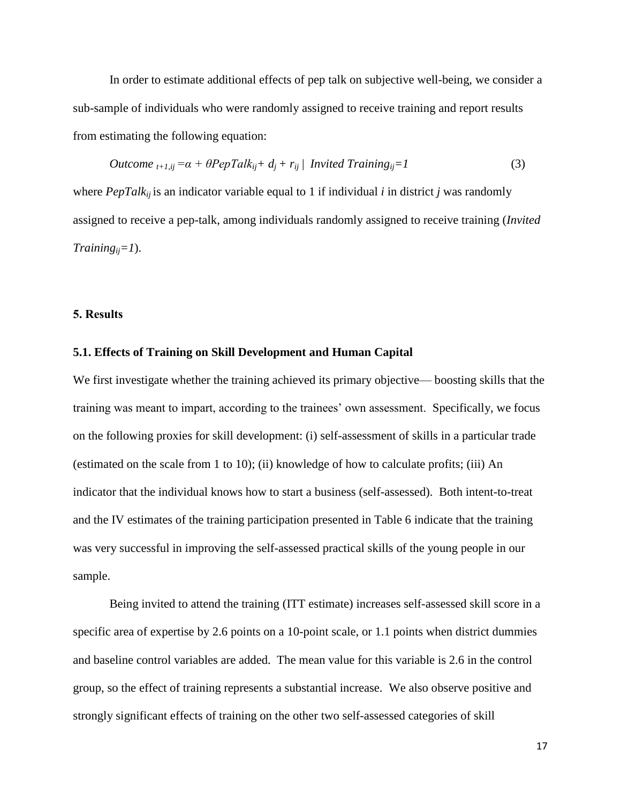In order to estimate additional effects of pep talk on subjective well-being, we consider a sub-sample of individuals who were randomly assigned to receive training and report results from estimating the following equation:

*Outcome* 
$$
_{t+1,ij} = \alpha + \theta PepTalk_{ij} + d_j + r_{ij} \mid Invited Training_{ij} = 1
$$
 (3)

where  $PepTalk_{ii}$  is an indicator variable equal to 1 if individual *i* in district *j* was randomly assigned to receive a pep-talk, among individuals randomly assigned to receive training (*Invited Trainingij=1*).

#### **5. Results**

## **5.1. Effects of Training on Skill Development and Human Capital**

We first investigate whether the training achieved its primary objective— boosting skills that the training was meant to impart, according to the trainees' own assessment. Specifically, we focus on the following proxies for skill development: (i) self-assessment of skills in a particular trade (estimated on the scale from 1 to 10); (ii) knowledge of how to calculate profits; (iii) An indicator that the individual knows how to start a business (self-assessed). Both intent-to-treat and the IV estimates of the training participation presented in Table 6 indicate that the training was very successful in improving the self-assessed practical skills of the young people in our sample.

Being invited to attend the training (ITT estimate) increases self-assessed skill score in a specific area of expertise by 2.6 points on a 10-point scale, or 1.1 points when district dummies and baseline control variables are added. The mean value for this variable is 2.6 in the control group, so the effect of training represents a substantial increase. We also observe positive and strongly significant effects of training on the other two self-assessed categories of skill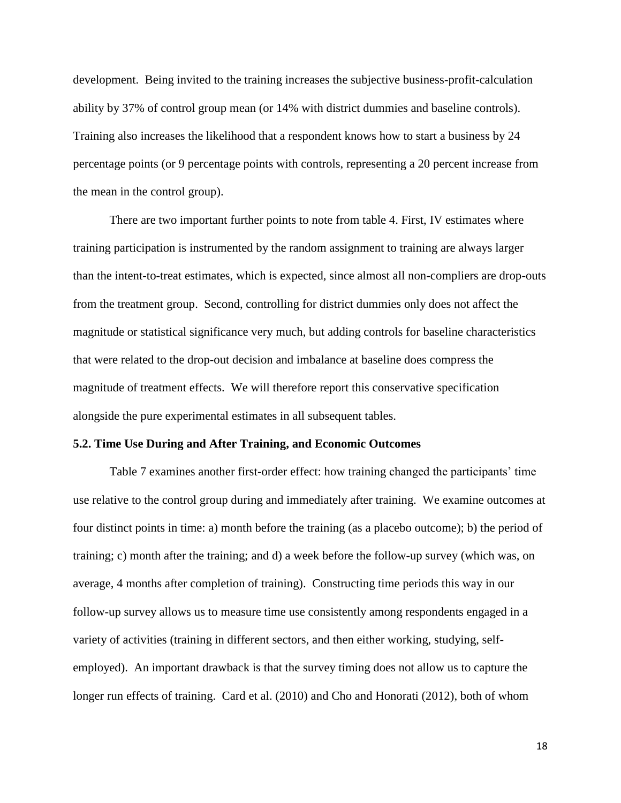development. Being invited to the training increases the subjective business-profit-calculation ability by 37% of control group mean (or 14% with district dummies and baseline controls). Training also increases the likelihood that a respondent knows how to start a business by 24 percentage points (or 9 percentage points with controls, representing a 20 percent increase from the mean in the control group).

There are two important further points to note from table 4. First, IV estimates where training participation is instrumented by the random assignment to training are always larger than the intent-to-treat estimates, which is expected, since almost all non-compliers are drop-outs from the treatment group. Second, controlling for district dummies only does not affect the magnitude or statistical significance very much, but adding controls for baseline characteristics that were related to the drop-out decision and imbalance at baseline does compress the magnitude of treatment effects. We will therefore report this conservative specification alongside the pure experimental estimates in all subsequent tables.

### **5.2. Time Use During and After Training, and Economic Outcomes**

Table 7 examines another first-order effect: how training changed the participants' time use relative to the control group during and immediately after training. We examine outcomes at four distinct points in time: a) month before the training (as a placebo outcome); b) the period of training; c) month after the training; and d) a week before the follow-up survey (which was, on average, 4 months after completion of training). Constructing time periods this way in our follow-up survey allows us to measure time use consistently among respondents engaged in a variety of activities (training in different sectors, and then either working, studying, selfemployed). An important drawback is that the survey timing does not allow us to capture the longer run effects of training. Card et al. (2010) and Cho and Honorati (2012), both of whom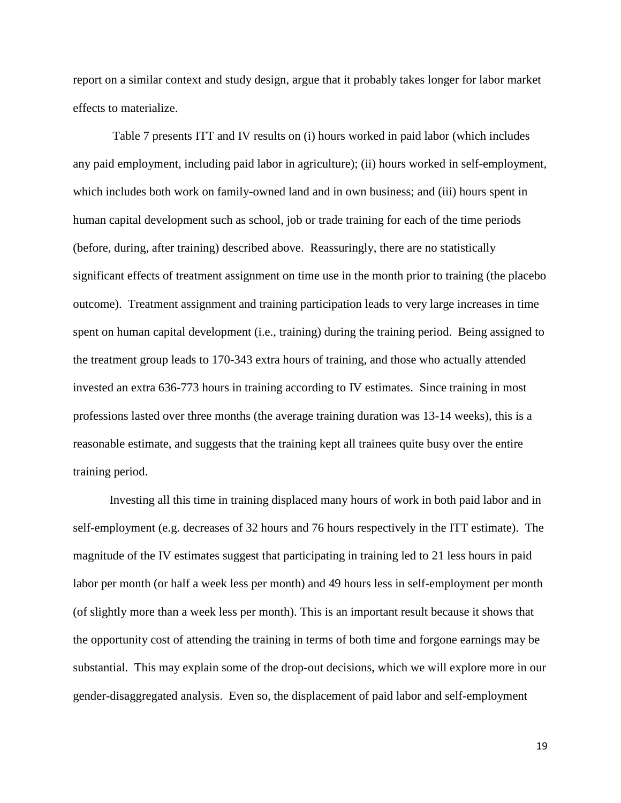report on a similar context and study design, argue that it probably takes longer for labor market effects to materialize.

Table 7 presents ITT and IV results on (i) hours worked in paid labor (which includes any paid employment, including paid labor in agriculture); (ii) hours worked in self-employment, which includes both work on family-owned land and in own business; and (iii) hours spent in human capital development such as school, job or trade training for each of the time periods (before, during, after training) described above. Reassuringly, there are no statistically significant effects of treatment assignment on time use in the month prior to training (the placebo outcome). Treatment assignment and training participation leads to very large increases in time spent on human capital development (i.e., training) during the training period. Being assigned to the treatment group leads to 170-343 extra hours of training, and those who actually attended invested an extra 636-773 hours in training according to IV estimates. Since training in most professions lasted over three months (the average training duration was 13-14 weeks), this is a reasonable estimate, and suggests that the training kept all trainees quite busy over the entire training period.

Investing all this time in training displaced many hours of work in both paid labor and in self-employment (e.g. decreases of 32 hours and 76 hours respectively in the ITT estimate). The magnitude of the IV estimates suggest that participating in training led to 21 less hours in paid labor per month (or half a week less per month) and 49 hours less in self-employment per month (of slightly more than a week less per month). This is an important result because it shows that the opportunity cost of attending the training in terms of both time and forgone earnings may be substantial. This may explain some of the drop-out decisions, which we will explore more in our gender-disaggregated analysis. Even so, the displacement of paid labor and self-employment

19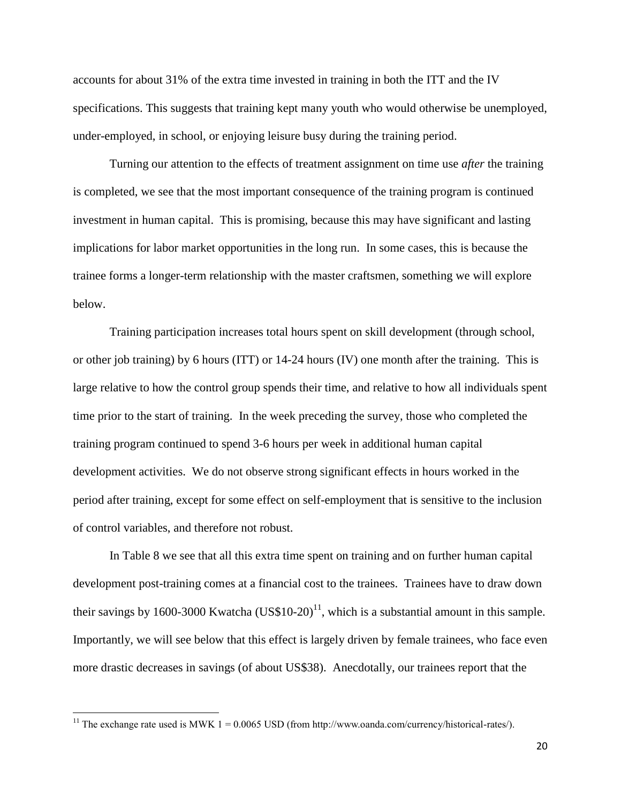accounts for about 31% of the extra time invested in training in both the ITT and the IV specifications. This suggests that training kept many youth who would otherwise be unemployed, under-employed, in school, or enjoying leisure busy during the training period.

Turning our attention to the effects of treatment assignment on time use *after* the training is completed, we see that the most important consequence of the training program is continued investment in human capital. This is promising, because this may have significant and lasting implications for labor market opportunities in the long run. In some cases, this is because the trainee forms a longer-term relationship with the master craftsmen, something we will explore below.

Training participation increases total hours spent on skill development (through school, or other job training) by 6 hours (ITT) or 14-24 hours (IV) one month after the training. This is large relative to how the control group spends their time, and relative to how all individuals spent time prior to the start of training. In the week preceding the survey, those who completed the training program continued to spend 3-6 hours per week in additional human capital development activities. We do not observe strong significant effects in hours worked in the period after training, except for some effect on self-employment that is sensitive to the inclusion of control variables, and therefore not robust.

In Table 8 we see that all this extra time spent on training and on further human capital development post-training comes at a financial cost to the trainees. Trainees have to draw down their savings by 1600-3000 Kwatcha  $(US$10-20)<sup>11</sup>$ , which is a substantial amount in this sample. Importantly, we will see below that this effect is largely driven by female trainees, who face even more drastic decreases in savings (of about US\$38). Anecdotally, our trainees report that the

 $\overline{\phantom{a}}$ 

<sup>&</sup>lt;sup>11</sup> The exchange rate used is MWK 1 = 0.0065 USD (from http://www.oanda.com/currency/historical-rates/).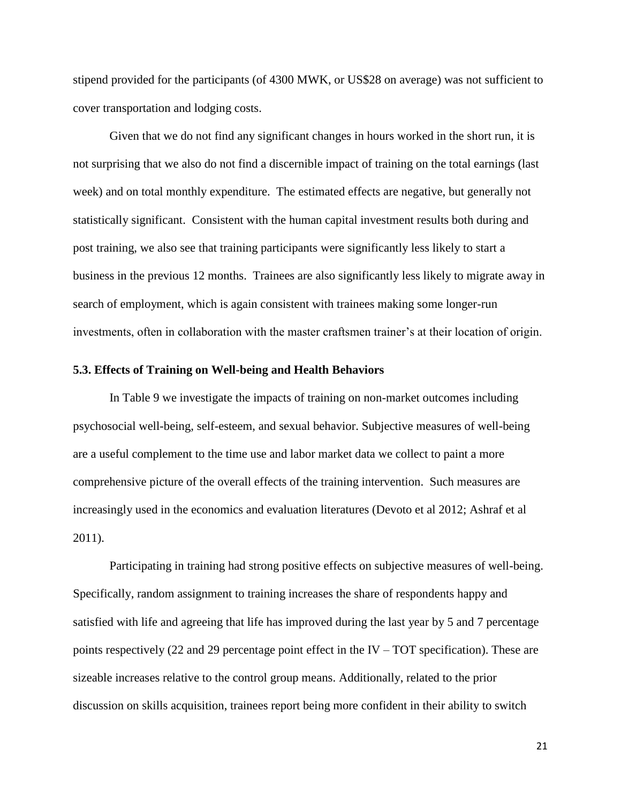stipend provided for the participants (of 4300 MWK, or US\$28 on average) was not sufficient to cover transportation and lodging costs.

Given that we do not find any significant changes in hours worked in the short run, it is not surprising that we also do not find a discernible impact of training on the total earnings (last week) and on total monthly expenditure. The estimated effects are negative, but generally not statistically significant. Consistent with the human capital investment results both during and post training, we also see that training participants were significantly less likely to start a business in the previous 12 months. Trainees are also significantly less likely to migrate away in search of employment, which is again consistent with trainees making some longer-run investments, often in collaboration with the master craftsmen trainer's at their location of origin.

### **5.3. Effects of Training on Well-being and Health Behaviors**

In Table 9 we investigate the impacts of training on non-market outcomes including psychosocial well-being, self-esteem, and sexual behavior. Subjective measures of well-being are a useful complement to the time use and labor market data we collect to paint a more comprehensive picture of the overall effects of the training intervention. Such measures are increasingly used in the economics and evaluation literatures (Devoto et al 2012; Ashraf et al 2011).

Participating in training had strong positive effects on subjective measures of well-being. Specifically, random assignment to training increases the share of respondents happy and satisfied with life and agreeing that life has improved during the last year by 5 and 7 percentage points respectively (22 and 29 percentage point effect in the IV – TOT specification). These are sizeable increases relative to the control group means. Additionally, related to the prior discussion on skills acquisition, trainees report being more confident in their ability to switch

21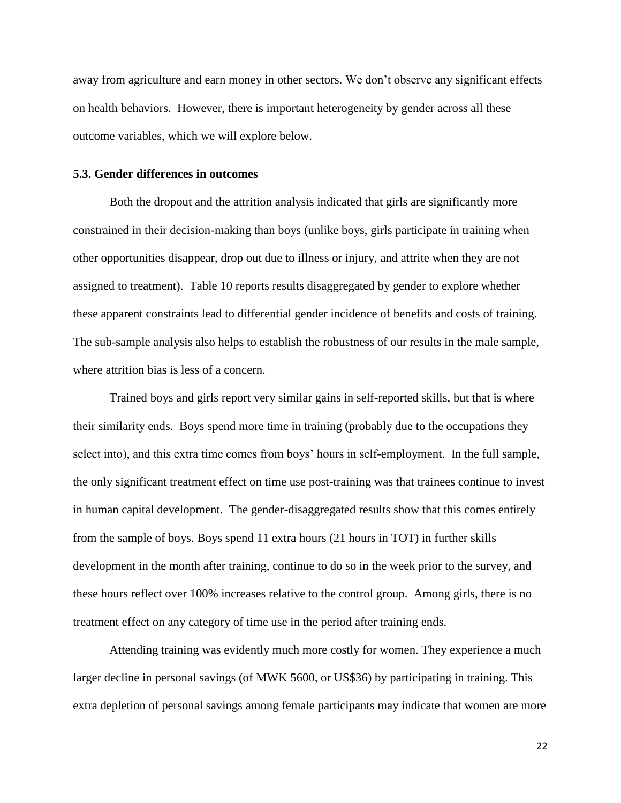away from agriculture and earn money in other sectors. We don't observe any significant effects on health behaviors. However, there is important heterogeneity by gender across all these outcome variables, which we will explore below.

## **5.3. Gender differences in outcomes**

Both the dropout and the attrition analysis indicated that girls are significantly more constrained in their decision-making than boys (unlike boys, girls participate in training when other opportunities disappear, drop out due to illness or injury, and attrite when they are not assigned to treatment). Table 10 reports results disaggregated by gender to explore whether these apparent constraints lead to differential gender incidence of benefits and costs of training. The sub-sample analysis also helps to establish the robustness of our results in the male sample, where attrition bias is less of a concern.

Trained boys and girls report very similar gains in self-reported skills, but that is where their similarity ends. Boys spend more time in training (probably due to the occupations they select into), and this extra time comes from boys' hours in self-employment. In the full sample, the only significant treatment effect on time use post-training was that trainees continue to invest in human capital development. The gender-disaggregated results show that this comes entirely from the sample of boys. Boys spend 11 extra hours (21 hours in TOT) in further skills development in the month after training, continue to do so in the week prior to the survey, and these hours reflect over 100% increases relative to the control group. Among girls, there is no treatment effect on any category of time use in the period after training ends.

Attending training was evidently much more costly for women. They experience a much larger decline in personal savings (of MWK 5600, or US\$36) by participating in training. This extra depletion of personal savings among female participants may indicate that women are more

22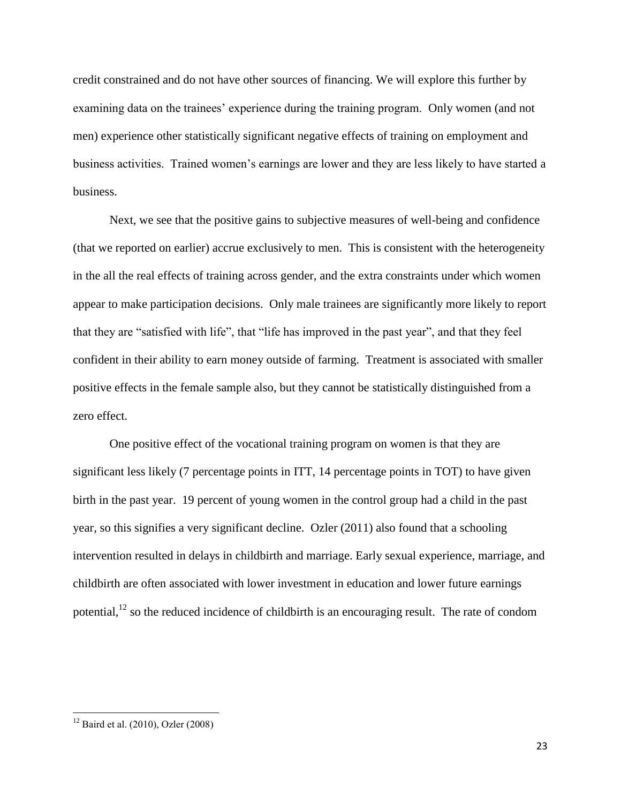credit constrained and do not have other sources of financing. We will explore this further by examining data on the trainees' experience during the training program. Only women (and not men) experience other statistically significant negative effects of training on employment and business activities. Trained women's earnings are lower and they are less likely to have started a business.

Next, we see that the positive gains to subjective measures of well-being and confidence (that we reported on earlier) accrue exclusively to men. This is consistent with the heterogeneity in the all the real effects of training across gender, and the extra constraints under which women appear to make participation decisions. Only male trainees are significantly more likely to report that they are "satisfied with life", that "life has improved in the past year", and that they feel confident in their ability to earn money outside of farming. Treatment is associated with smaller positive effects in the female sample also, but they cannot be statistically distinguished from a zero effect.

One positive effect of the vocational training program on women is that they are significant less likely (7 percentage points in ITT, 14 percentage points in TOT) to have given birth in the past year. 19 percent of young women in the control group had a child in the past year, so this signifies a very significant decline. Ozler (2011) also found that a schooling intervention resulted in delays in childbirth and marriage. Early sexual experience, marriage, and childbirth are often associated with lower investment in education and lower future earnings potential,<sup>12</sup> so the reduced incidence of childbirth is an encouraging result. The rate of condom

 $\overline{\phantom{a}}$ 

 $12$  Baird et al. (2010), Ozler (2008)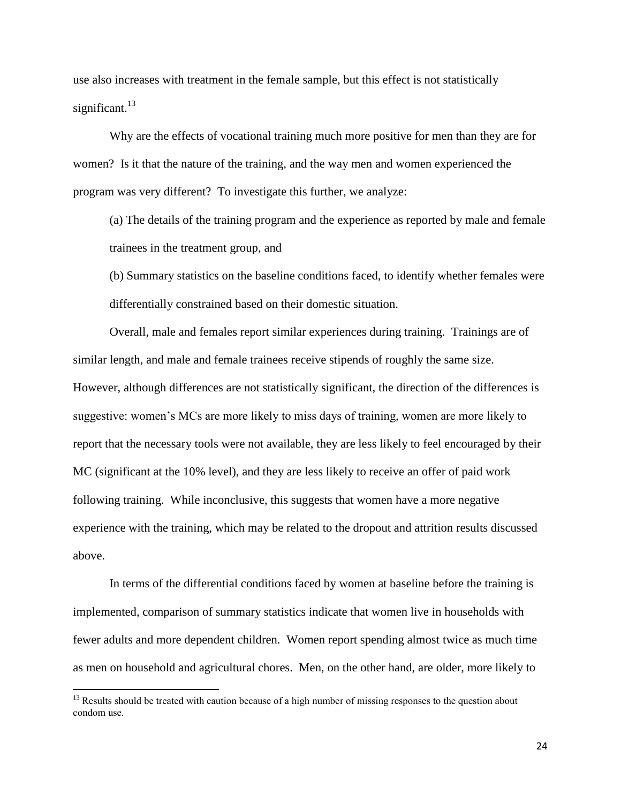use also increases with treatment in the female sample, but this effect is not statistically significant. $13$ 

Why are the effects of vocational training much more positive for men than they are for women? Is it that the nature of the training, and the way men and women experienced the program was very different? To investigate this further, we analyze:

(a) The details of the training program and the experience as reported by male and female trainees in the treatment group, and

(b) Summary statistics on the baseline conditions faced, to identify whether females were differentially constrained based on their domestic situation.

Overall, male and females report similar experiences during training. Trainings are of similar length, and male and female trainees receive stipends of roughly the same size. However, although differences are not statistically significant, the direction of the differences is suggestive: women's MCs are more likely to miss days of training, women are more likely to report that the necessary tools were not available, they are less likely to feel encouraged by their MC (significant at the 10% level), and they are less likely to receive an offer of paid work following training. While inconclusive, this suggests that women have a more negative experience with the training, which may be related to the dropout and attrition results discussed above.

In terms of the differential conditions faced by women at baseline before the training is implemented, comparison of summary statistics indicate that women live in households with fewer adults and more dependent children. Women report spending almost twice as much time as men on household and agricultural chores. Men, on the other hand, are older, more likely to

 $\overline{\phantom{a}}$ 

<sup>&</sup>lt;sup>13</sup> Results should be treated with caution because of a high number of missing responses to the question about condom use.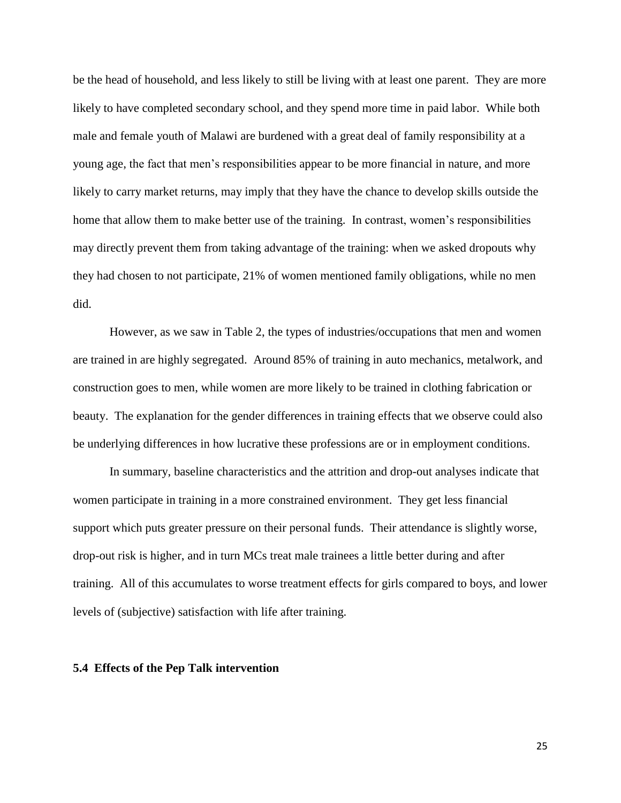be the head of household, and less likely to still be living with at least one parent. They are more likely to have completed secondary school, and they spend more time in paid labor. While both male and female youth of Malawi are burdened with a great deal of family responsibility at a young age, the fact that men's responsibilities appear to be more financial in nature, and more likely to carry market returns, may imply that they have the chance to develop skills outside the home that allow them to make better use of the training. In contrast, women's responsibilities may directly prevent them from taking advantage of the training: when we asked dropouts why they had chosen to not participate, 21% of women mentioned family obligations, while no men did.

However, as we saw in Table 2, the types of industries/occupations that men and women are trained in are highly segregated. Around 85% of training in auto mechanics, metalwork, and construction goes to men, while women are more likely to be trained in clothing fabrication or beauty. The explanation for the gender differences in training effects that we observe could also be underlying differences in how lucrative these professions are or in employment conditions.

In summary, baseline characteristics and the attrition and drop-out analyses indicate that women participate in training in a more constrained environment. They get less financial support which puts greater pressure on their personal funds. Their attendance is slightly worse, drop-out risk is higher, and in turn MCs treat male trainees a little better during and after training. All of this accumulates to worse treatment effects for girls compared to boys, and lower levels of (subjective) satisfaction with life after training.

#### **5.4 Effects of the Pep Talk intervention**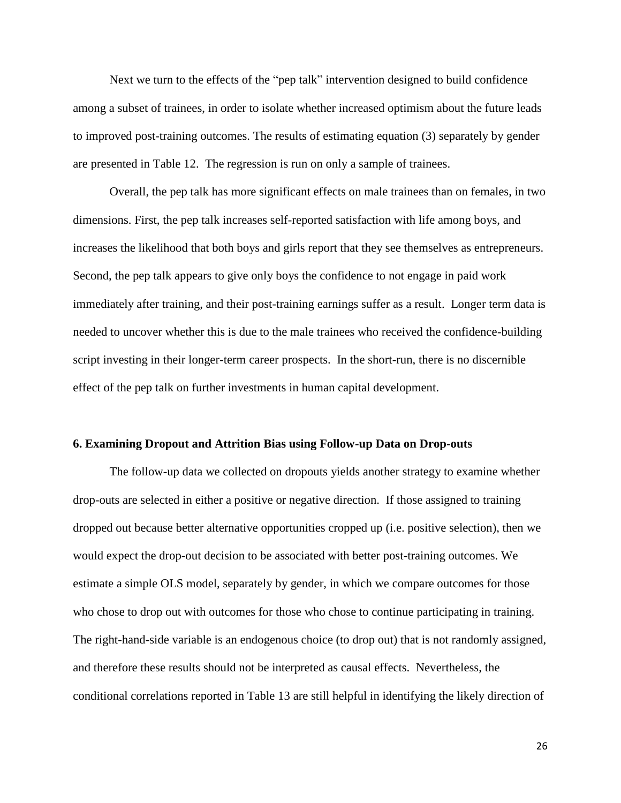Next we turn to the effects of the "pep talk" intervention designed to build confidence among a subset of trainees, in order to isolate whether increased optimism about the future leads to improved post-training outcomes. The results of estimating equation (3) separately by gender are presented in Table 12. The regression is run on only a sample of trainees.

Overall, the pep talk has more significant effects on male trainees than on females, in two dimensions. First, the pep talk increases self-reported satisfaction with life among boys, and increases the likelihood that both boys and girls report that they see themselves as entrepreneurs. Second, the pep talk appears to give only boys the confidence to not engage in paid work immediately after training, and their post-training earnings suffer as a result. Longer term data is needed to uncover whether this is due to the male trainees who received the confidence-building script investing in their longer-term career prospects. In the short-run, there is no discernible effect of the pep talk on further investments in human capital development.

#### **6. Examining Dropout and Attrition Bias using Follow-up Data on Drop-outs**

The follow-up data we collected on dropouts yields another strategy to examine whether drop-outs are selected in either a positive or negative direction. If those assigned to training dropped out because better alternative opportunities cropped up (i.e. positive selection), then we would expect the drop-out decision to be associated with better post-training outcomes. We estimate a simple OLS model, separately by gender, in which we compare outcomes for those who chose to drop out with outcomes for those who chose to continue participating in training. The right-hand-side variable is an endogenous choice (to drop out) that is not randomly assigned, and therefore these results should not be interpreted as causal effects. Nevertheless, the conditional correlations reported in Table 13 are still helpful in identifying the likely direction of

26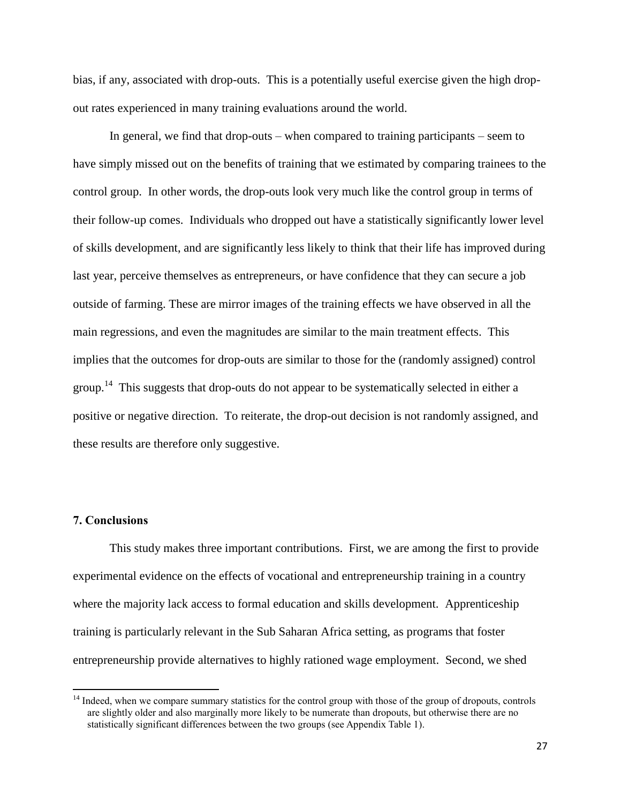bias, if any, associated with drop-outs. This is a potentially useful exercise given the high dropout rates experienced in many training evaluations around the world.

In general, we find that drop-outs – when compared to training participants – seem to have simply missed out on the benefits of training that we estimated by comparing trainees to the control group. In other words, the drop-outs look very much like the control group in terms of their follow-up comes. Individuals who dropped out have a statistically significantly lower level of skills development, and are significantly less likely to think that their life has improved during last year, perceive themselves as entrepreneurs, or have confidence that they can secure a job outside of farming. These are mirror images of the training effects we have observed in all the main regressions, and even the magnitudes are similar to the main treatment effects. This implies that the outcomes for drop-outs are similar to those for the (randomly assigned) control group.<sup>14</sup> This suggests that drop-outs do not appear to be systematically selected in either a positive or negative direction. To reiterate, the drop-out decision is not randomly assigned, and these results are therefore only suggestive.

# **7. Conclusions**

 $\overline{\phantom{a}}$ 

This study makes three important contributions. First, we are among the first to provide experimental evidence on the effects of vocational and entrepreneurship training in a country where the majority lack access to formal education and skills development. Apprenticeship training is particularly relevant in the Sub Saharan Africa setting, as programs that foster entrepreneurship provide alternatives to highly rationed wage employment. Second, we shed

<sup>&</sup>lt;sup>14</sup> Indeed, when we compare summary statistics for the control group with those of the group of dropouts, controls are slightly older and also marginally more likely to be numerate than dropouts, but otherwise there are no statistically significant differences between the two groups (see Appendix Table 1).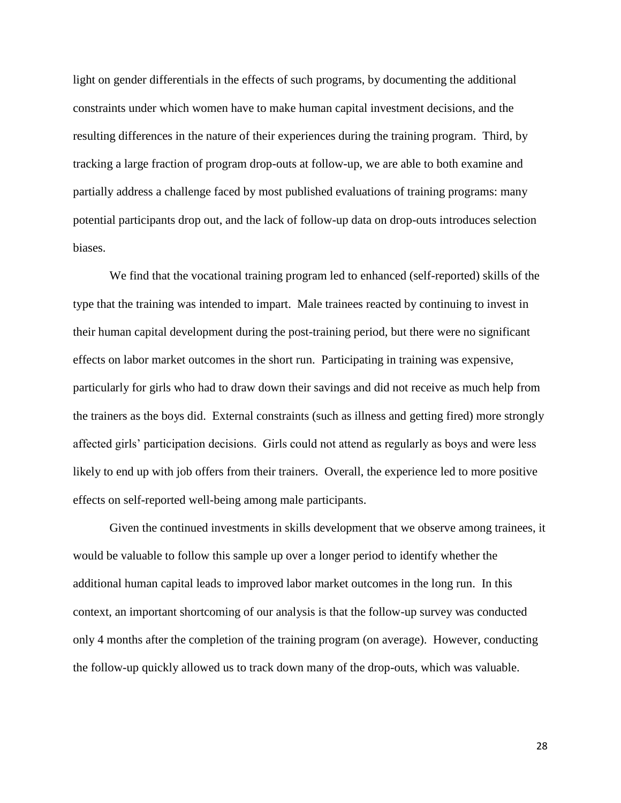light on gender differentials in the effects of such programs, by documenting the additional constraints under which women have to make human capital investment decisions, and the resulting differences in the nature of their experiences during the training program. Third, by tracking a large fraction of program drop-outs at follow-up, we are able to both examine and partially address a challenge faced by most published evaluations of training programs: many potential participants drop out, and the lack of follow-up data on drop-outs introduces selection biases.

We find that the vocational training program led to enhanced (self-reported) skills of the type that the training was intended to impart. Male trainees reacted by continuing to invest in their human capital development during the post-training period, but there were no significant effects on labor market outcomes in the short run. Participating in training was expensive, particularly for girls who had to draw down their savings and did not receive as much help from the trainers as the boys did. External constraints (such as illness and getting fired) more strongly affected girls' participation decisions. Girls could not attend as regularly as boys and were less likely to end up with job offers from their trainers. Overall, the experience led to more positive effects on self-reported well-being among male participants.

Given the continued investments in skills development that we observe among trainees, it would be valuable to follow this sample up over a longer period to identify whether the additional human capital leads to improved labor market outcomes in the long run. In this context, an important shortcoming of our analysis is that the follow-up survey was conducted only 4 months after the completion of the training program (on average). However, conducting the follow-up quickly allowed us to track down many of the drop-outs, which was valuable.

28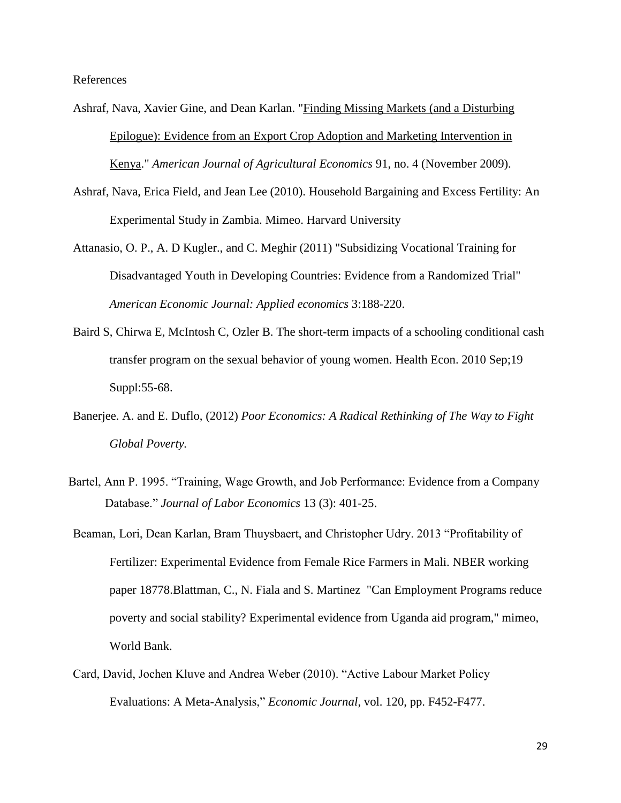References

- Ashraf, Nava, Xavier Gine, and Dean Karlan. ["Finding Missing Markets \(and a Disturbing](http://www.people.hbs.edu/nashraf/FindingMissingMarkets_AJAE_Final.pdf)  [Epilogue\): Evidence from an Export Crop Adoption and Marketing Intervention in](http://www.people.hbs.edu/nashraf/FindingMissingMarkets_AJAE_Final.pdf)  [Kenya.](http://www.people.hbs.edu/nashraf/FindingMissingMarkets_AJAE_Final.pdf)" *American Journal of Agricultural Economics* 91, no. 4 (November 2009).
- Ashraf, Nava, Erica Field, and Jean Lee (2010). Household Bargaining and Excess Fertility: An Experimental Study in Zambia. Mimeo. Harvard University
- Attanasio, O. P., A. D Kugler., and C. Meghir (2011) "Subsidizing Vocational Training for Disadvantaged Youth in Developing Countries: Evidence from a Randomized Trial" *American Economic Journal: Applied economics* 3:188-220.
- [Baird S, Chirwa E, McIntosh C, Ozler B. The short-term impacts of a schooling conditional cash](http://clinicaltrials.gov/ct2/bye/zQoPWw4lZX-i-iSxuBcyeXNxvdDxuQ7Ju6c9cXcHuioyzTp9ai7HSTDxNBciescgm64LD61PSQ7Hc6D65B0LVi7yg67VN6h9Ei4L3BUgWwNG0iY6vQ1gW1-He6oR9RC5xg4BOK4w.)  [transfer program on the sexual behavior of young women. Health Econ. 2010 Sep;19](http://clinicaltrials.gov/ct2/bye/zQoPWw4lZX-i-iSxuBcyeXNxvdDxuQ7Ju6c9cXcHuioyzTp9ai7HSTDxNBciescgm64LD61PSQ7Hc6D65B0LVi7yg67VN6h9Ei4L3BUgWwNG0iY6vQ1gW1-He6oR9RC5xg4BOK4w.)  [Suppl:55-68.](http://clinicaltrials.gov/ct2/bye/zQoPWw4lZX-i-iSxuBcyeXNxvdDxuQ7Ju6c9cXcHuioyzTp9ai7HSTDxNBciescgm64LD61PSQ7Hc6D65B0LVi7yg67VN6h9Ei4L3BUgWwNG0iY6vQ1gW1-He6oR9RC5xg4BOK4w.)
- Banerjee. A. and E. Duflo, (2012) *Poor Economics: A Radical Rethinking of The Way to Fight Global Poverty.*
- Bartel, Ann P. 1995. "Training, Wage Growth, and Job Performance: Evidence from a Company Database." *Journal of Labor Economics* 13 (3): 401-25.
- Beaman, Lori, Dean Karlan, Bram Thuysbaert, and Christopher Udry. 2013 "Profitability of Fertilizer: Experimental Evidence from Female Rice Farmers in Mali. NBER working paper 18778.Blattman, C., N. Fiala and S. Martinez "Can Employment Programs reduce poverty and social stability? Experimental evidence from Uganda aid program," mimeo, World Bank.
- Card, David, Jochen Kluve and Andrea Weber (2010). "Active Labour Market Policy Evaluations: A Meta-Analysis," *Economic Journal*, vol. 120, pp. F452-F477.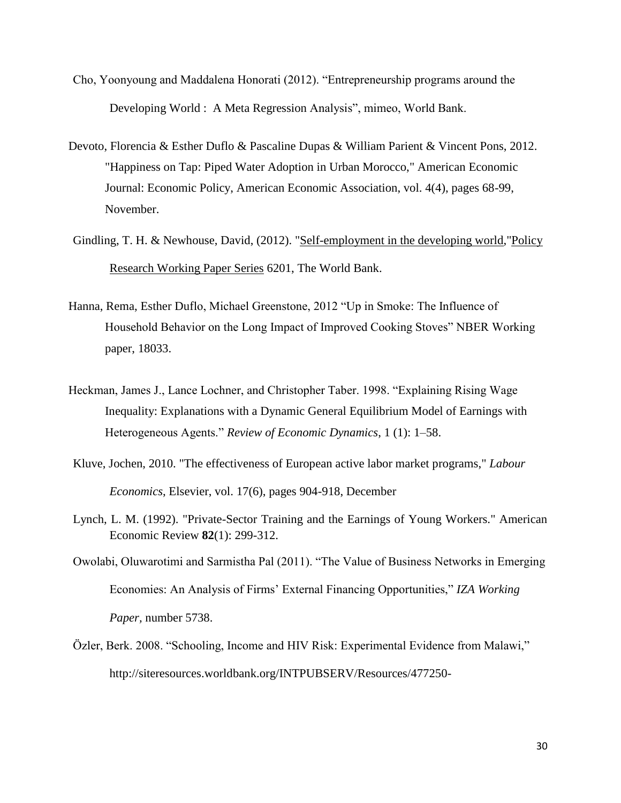- Cho, Yoonyoung and Maddalena Honorati (2012). "Entrepreneurship programs around the Developing World : A Meta Regression Analysis", mimeo, World Bank.
- Devoto, Florencia & Esther Duflo & Pascaline Dupas & William Parient & Vincent Pons, 2012. "Happiness on Tap: Piped Water Adoption in Urban Morocco," American Economic Journal: Economic Policy, American Economic Association, vol. 4(4), pages 68-99, November.
- Gindling, T. H. & Newhouse, David, (2012). ["Self-employment in the developing world,](http://ideas.repec.org/p/wbk/wbrwps/6201.html)["Policy](http://ideas.repec.org/s/wbk/wbrwps.html)  [Research Working Paper Series](http://ideas.repec.org/s/wbk/wbrwps.html) 6201, The World Bank.
- Hanna, Rema, Esther Duflo, Michael Greenstone, 2012 "Up in Smoke: The Influence of Household Behavior on the Long Impact of Improved Cooking Stoves" NBER Working paper, 18033.
- Heckman, James J., Lance Lochner, and Christopher Taber. 1998. "Explaining Rising Wage Inequality: Explanations with a Dynamic General Equilibrium Model of Earnings with Heterogeneous Agents." *Review of Economic Dynamics*, 1 (1): 1–58.
- Kluve, Jochen, 2010. ["The effectiveness of European active labor market programs,](http://ideas.repec.org/a/eee/labeco/v17y2010i6p904-918.html)" *[Labour](http://ideas.repec.org/s/eee/labeco.html)  [Economics](http://ideas.repec.org/s/eee/labeco.html)*, Elsevier, vol. 17(6), pages 904-918, December
- Lynch, L. M. (1992). "Private-Sector Training and the Earnings of Young Workers." American Economic Review **82**(1): 299-312.
- Owolabi, Oluwarotimi and Sarmistha Pal (2011). "The Value of Business Networks in Emerging Economies: An Analysis of Firms' External Financing Opportunities," *IZA Working Paper,* number 5738.
- Ӧzler, Berk. 2008. "Schooling, Income and HIV Risk: Experimental Evidence from Malawi," [http://siteresources.worldbank.org/INTPUBSERV/Resources/477250-](http://siteresources.worldbank.org/INTPUBSERV/Resources/477250-1202852052255/Malawi_School_income_HIV_evidence.Brisbane.012908.pdf)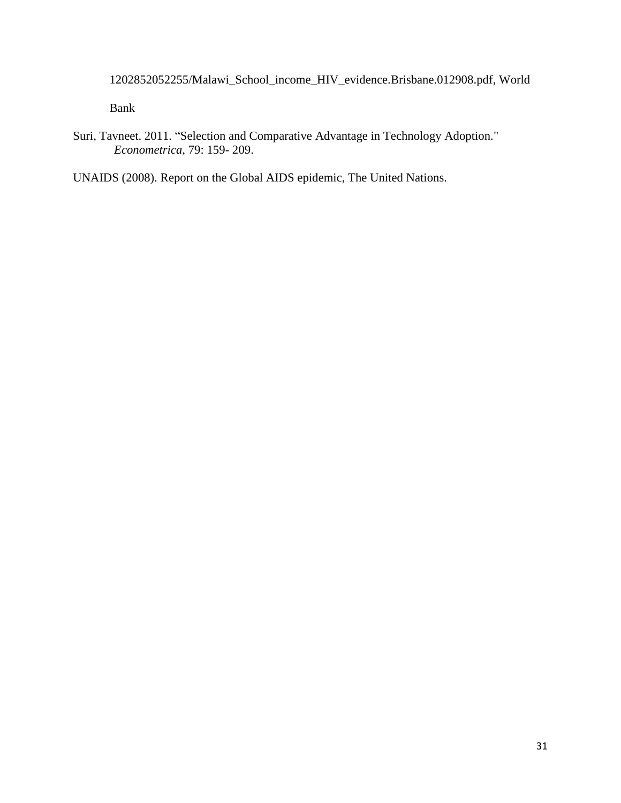[1202852052255/Malawi\\_School\\_income\\_HIV\\_evidence.Brisbane.012908.pdf,](http://siteresources.worldbank.org/INTPUBSERV/Resources/477250-1202852052255/Malawi_School_income_HIV_evidence.Brisbane.012908.pdf) World

Bank

Suri, Tavneet. 2011. "Selection and Comparative Advantage in Technology Adoption." *Econometrica*, 79: 159- 209.

UNAIDS (2008). Report on the Global AIDS epidemic, The United Nations.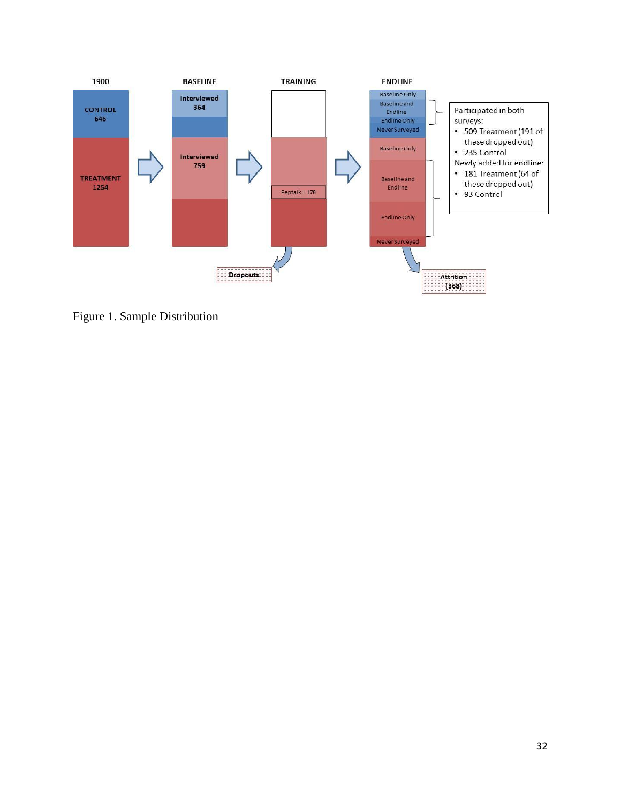

Figure 1. Sample Distribution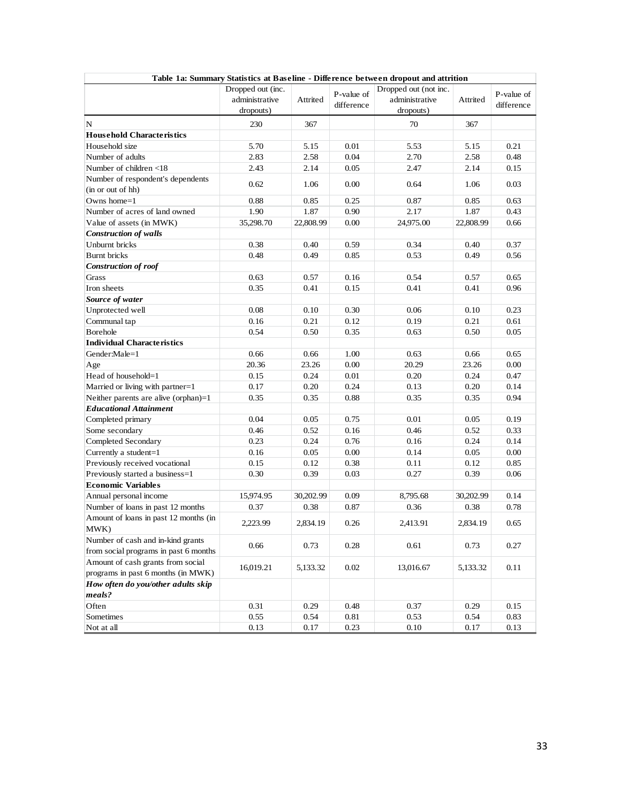| Table 1a: Summary Statistics at Baseline - Difference between dropout and attrition |                   |           |            |                       |           |            |
|-------------------------------------------------------------------------------------|-------------------|-----------|------------|-----------------------|-----------|------------|
|                                                                                     | Dropped out (inc. |           | P-value of | Dropped out (not inc. |           | P-value of |
|                                                                                     | administrative    | Attrited  |            | administrative        | Attrited  |            |
|                                                                                     | dropouts)         |           | difference | dropouts)             |           | difference |
| N                                                                                   | 230               | 367       |            | 70                    | 367       |            |
| <b>Household Characteristics</b>                                                    |                   |           |            |                       |           |            |
| Household size                                                                      | 5.70              | 5.15      | 0.01       | 5.53                  | 5.15      | 0.21       |
| Number of adults                                                                    | 2.83              | 2.58      | 0.04       | 2.70                  | 2.58      | 0.48       |
| Number of children <18                                                              | 2.43              | 2.14      | 0.05       | 2.47                  | 2.14      | 0.15       |
| Number of respondent's dependents                                                   |                   |           |            |                       |           |            |
| (in or out of hh)                                                                   | 0.62              | 1.06      | 0.00       | 0.64                  | 1.06      | 0.03       |
| Owns home $=1$                                                                      | 0.88              | 0.85      | 0.25       | 0.87                  | 0.85      | 0.63       |
| Number of acres of land owned                                                       | 1.90              | 1.87      | 0.90       | 2.17                  | 1.87      | 0.43       |
| Value of assets (in MWK)                                                            | 35,298.70         | 22,808.99 | 0.00       | 24,975.00             | 22,808.99 | 0.66       |
| <b>Construction of walls</b>                                                        |                   |           |            |                       |           |            |
| Unburnt bricks                                                                      | 0.38              | 0.40      | 0.59       | 0.34                  | 0.40      | 0.37       |
| <b>Burnt</b> bricks                                                                 | 0.48              | 0.49      | 0.85       | 0.53                  | 0.49      | 0.56       |
| <b>Construction of roof</b>                                                         |                   |           |            |                       |           |            |
| Grass                                                                               | 0.63              | 0.57      | 0.16       | 0.54                  | 0.57      | 0.65       |
| Iron sheets                                                                         | 0.35              | 0.41      | 0.15       | 0.41                  | 0.41      | 0.96       |
| Source of water                                                                     |                   |           |            |                       |           |            |
| Unprotected well                                                                    | 0.08              | 0.10      | 0.30       | 0.06                  | 0.10      | 0.23       |
| Communal tap                                                                        | 0.16              | 0.21      | 0.12       | 0.19                  | 0.21      | 0.61       |
| <b>Borehole</b>                                                                     | 0.54              | 0.50      | 0.35       | 0.63                  | 0.50      | 0.05       |
| <b>Individual Characteristics</b>                                                   |                   |           |            |                       |           |            |
| Gender:Male=1                                                                       | 0.66              | 0.66      | 1.00       | 0.63                  | 0.66      | 0.65       |
|                                                                                     |                   |           |            |                       |           |            |
| Age                                                                                 | 20.36             | 23.26     | 0.00       | 20.29                 | 23.26     | 0.00       |
| Head of household=1                                                                 | 0.15              | 0.24      | 0.01       | 0.20                  | 0.24      | 0.47       |
| Married or living with partner=1                                                    | 0.17              | 0.20      | 0.24       | 0.13                  | 0.20      | 0.14       |
| Neither parents are alive (orphan)=1                                                | 0.35              | 0.35      | 0.88       | 0.35                  | 0.35      | 0.94       |
| <b>Educational Attainment</b>                                                       |                   |           |            |                       |           |            |
| Completed primary                                                                   | 0.04              | 0.05      | 0.75       | 0.01                  | 0.05      | 0.19       |
| Some secondary                                                                      | 0.46              | 0.52      | 0.16       | 0.46                  | 0.52      | 0.33       |
| Completed Secondary                                                                 | 0.23              | 0.24      | 0.76       | 0.16                  | 0.24      | 0.14       |
| Currently a student=1                                                               | 0.16              | 0.05      | 0.00       | 0.14                  | 0.05      | 0.00       |
| Previously received vocational                                                      | 0.15              | 0.12      | 0.38       | 0.11                  | 0.12      | 0.85       |
| Previously started a business=1                                                     | 0.30              | 0.39      | 0.03       | 0.27                  | 0.39      | 0.06       |
| <b>Economic Variables</b>                                                           |                   |           |            |                       |           |            |
| Annual personal income                                                              | 15,974.95         | 30,202.99 | 0.09       | 8,795.68              | 30,202.99 | 0.14       |
| Number of loans in past 12 months                                                   | 0.37              | 0.38      | 0.87       | 0.36                  | 0.38      | 0.78       |
| Amount of loans in past 12 months (in<br>MWK)                                       | 2,223.99          | 2,834.19  | 0.26       | 2,413.91              | 2,834.19  | 0.65       |
| Number of cash and in-kind grants                                                   | 0.66              | 0.73      | 0.28       | 0.61                  | 0.73      | 0.27       |
| from social programs in past 6 months                                               |                   |           |            |                       |           |            |
| Amount of cash grants from social                                                   | 16,019.21         | 5,133.32  | 0.02       | 13,016.67             | 5,133.32  | 0.11       |
| programs in past 6 months (in MWK)                                                  |                   |           |            |                       |           |            |
| How often do you/other adults skip                                                  |                   |           |            |                       |           |            |
| meals?                                                                              |                   |           |            |                       |           |            |
| Often                                                                               | 0.31              | 0.29      | 0.48       | 0.37                  | 0.29      | 0.15       |
| Sometimes                                                                           | 0.55              | 0.54      | 0.81       | 0.53                  | 0.54      | 0.83       |
| Not at all                                                                          | 0.13              | 0.17      | 0.23       | 0.10                  | 0.17      | 0.13       |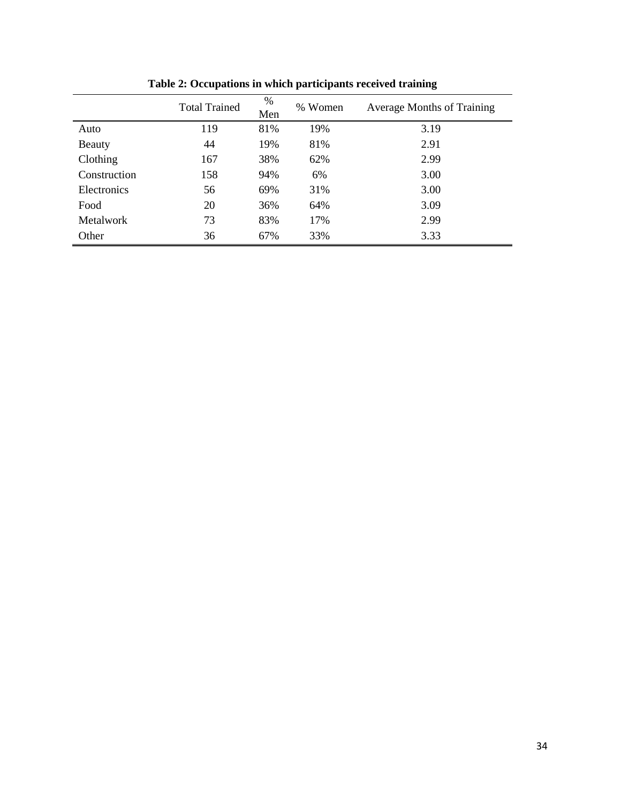|                  | <b>Total Trained</b> | %<br>Men | % Women | <b>Average Months of Training</b> |
|------------------|----------------------|----------|---------|-----------------------------------|
| Auto             | 119                  | 81%      | 19%     | 3.19                              |
| Beauty           | 44                   | 19%      | 81%     | 2.91                              |
| Clothing         | 167                  | 38%      | 62%     | 2.99                              |
| Construction     | 158                  | 94%      | 6%      | 3.00                              |
| Electronics      | 56                   | 69%      | 31%     | 3.00                              |
| Food             | 20                   | 36%      | 64%     | 3.09                              |
| <b>Metalwork</b> | 73                   | 83%      | 17%     | 2.99                              |
| Other            | 36                   | 67%      | 33%     | 3.33                              |

**Table 2: Occupations in which participants received training**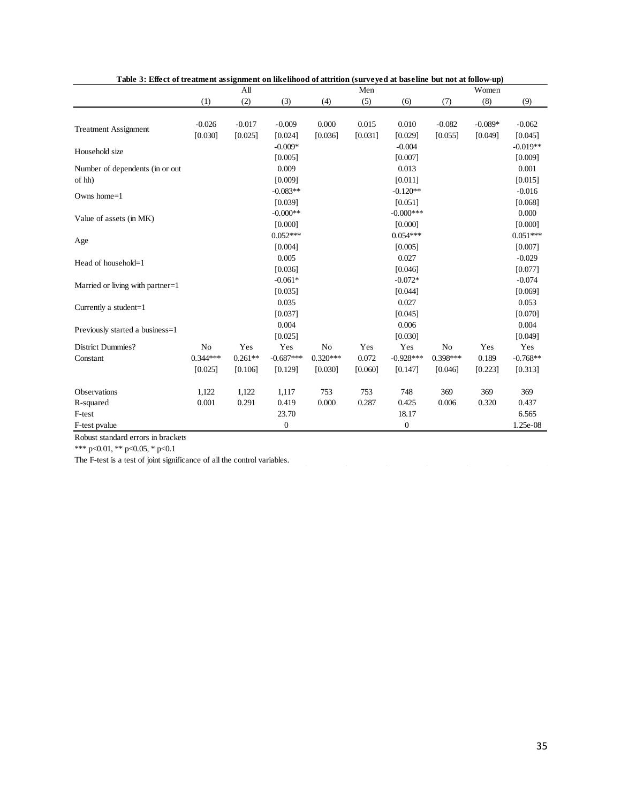| asic or more or recument assignment on incrimou or attribute (surveyed at suscime sur-nor at tono $\eta$ up) |            | All       |                  |            | Men     |                  |            | Women     |            |
|--------------------------------------------------------------------------------------------------------------|------------|-----------|------------------|------------|---------|------------------|------------|-----------|------------|
|                                                                                                              | (1)        | (2)       | (3)              | (4)        | (5)     | (6)              | (7)        | (8)       | (9)        |
|                                                                                                              |            |           |                  |            |         |                  |            |           |            |
| <b>Treatment Assignment</b>                                                                                  | $-0.026$   | $-0.017$  | $-0.009$         | 0.000      | 0.015   | 0.010            | $-0.082$   | $-0.089*$ | $-0.062$   |
|                                                                                                              | [0.030]    | [0.025]   | [0.024]          | [0.036]    | [0.031] | [0.029]          | [0.055]    | [0.049]   | [0.045]    |
| Household size                                                                                               |            |           | $-0.009*$        |            |         | $-0.004$         |            |           | $-0.019**$ |
|                                                                                                              |            |           | [0.005]          |            |         | [0.007]          |            |           | [0.009]    |
| Number of dependents (in or out                                                                              |            |           | 0.009            |            |         | 0.013            |            |           | 0.001      |
| of hh)                                                                                                       |            |           | [0.009]          |            |         | [0.011]          |            |           | [0.015]    |
| Owns home=1                                                                                                  |            |           | $-0.083**$       |            |         | $-0.120**$       |            |           | $-0.016$   |
|                                                                                                              |            |           | [0.039]          |            |         | [0.051]          |            |           | [0.068]    |
| Value of assets (in MK)                                                                                      |            |           | $-0.000**$       |            |         | $-0.000***$      |            |           | 0.000      |
|                                                                                                              |            |           | [0.000]          |            |         | [0.000]          |            |           | [0.000]    |
| Age                                                                                                          |            |           | $0.052***$       |            |         | $0.054***$       |            |           | $0.051***$ |
|                                                                                                              |            |           | [0.004]          |            |         | [0.005]          |            |           | [0.007]    |
| Head of household=1                                                                                          |            |           | 0.005            |            |         | 0.027            |            |           | $-0.029$   |
|                                                                                                              |            |           | [0.036]          |            |         | [0.046]          |            |           | [0.077]    |
| Married or living with partner=1                                                                             |            |           | $-0.061*$        |            |         | $-0.072*$        |            |           | $-0.074$   |
|                                                                                                              |            |           | [0.035]          |            |         | [0.044]          |            |           | [0.069]    |
| Currently a student=1                                                                                        |            |           | 0.035            |            |         | 0.027            |            |           | 0.053      |
|                                                                                                              |            |           | [0.037]          |            |         | [0.045]          |            |           | [0.070]    |
| Previously started a business=1                                                                              |            |           | 0.004            |            |         | 0.006            |            |           | 0.004      |
|                                                                                                              |            |           | [0.025]          |            |         | [0.030]          |            |           | [0.049]    |
| District Dummies?                                                                                            | No         | Yes       | Yes              | No         | Yes     | Yes              | No         | Yes       | Yes        |
| Constant                                                                                                     | $0.344***$ | $0.261**$ | $-0.687***$      | $0.320***$ | 0.072   | $-0.928***$      | $0.398***$ | 0.189     | $-0.768**$ |
|                                                                                                              | [0.025]    | [0.106]   | [0.129]          | [0.030]    | [0.060] | [0.147]          | [0.046]    | [0.223]   | [0.313]    |
|                                                                                                              |            |           |                  |            |         |                  |            |           |            |
| Observations                                                                                                 | 1,122      | 1,122     | 1,117            | 753        | 753     | 748              | 369        | 369       | 369        |
| R-squared                                                                                                    | 0.001      | 0.291     | 0.419            | 0.000      | 0.287   | 0.425            | 0.006      | 0.320     | 0.437      |
| F-test                                                                                                       |            |           | 23.70            |            |         | 18.17            |            |           | 6.565      |
| F-test pvalue                                                                                                |            |           | $\boldsymbol{0}$ |            |         | $\boldsymbol{0}$ |            |           | 1.25e-08   |

**Table 3: Effect of treatment assignment on likelihood of attrition (surveyed at baseline but not at follow-up)**

Robust standard errors in brackets

\*\*\* p<0.01, \*\* p<0.05, \* p<0.1

The F-test is a test of joint significance of all the control variables.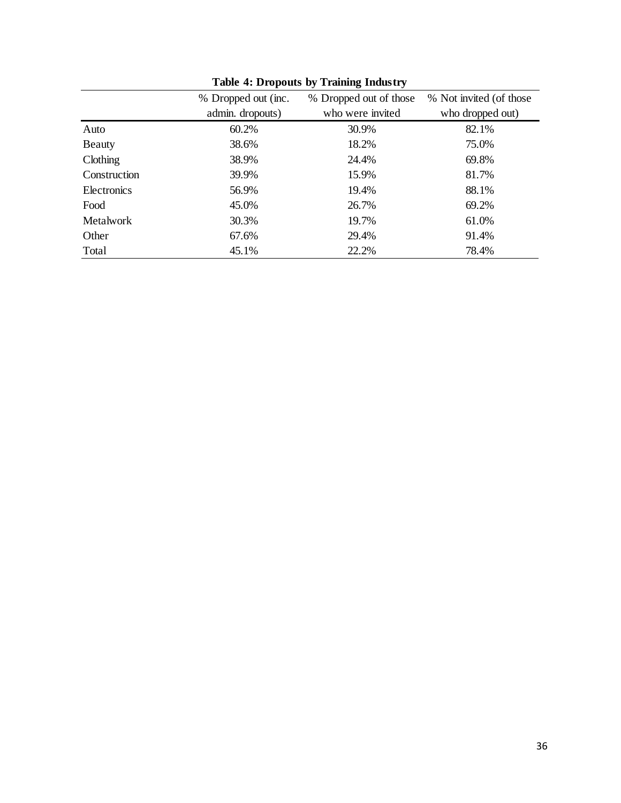|              | % Dropped out (inc. | % Dropped out of those | % Not invited (of those |
|--------------|---------------------|------------------------|-------------------------|
|              | admin. dropouts)    | who were invited       | who dropped out)        |
| Auto         | 60.2%               | 30.9%                  | 82.1%                   |
| Beauty       | 38.6%               | 18.2%                  | 75.0%                   |
| Clothing     | 38.9%               | 24.4%                  | 69.8%                   |
| Construction | 39.9%               | 15.9%                  | 81.7%                   |
| Electronics  | 56.9%               | 19.4%                  | 88.1%                   |
| Food         | 45.0%               | 26.7%                  | 69.2%                   |
| Metalwork    | 30.3%               | 19.7%                  | 61.0%                   |
| Other        | 67.6%               | 29.4%                  | 91.4%                   |
| Total        | 45.1%               | 22.2%                  | 78.4%                   |

**Table 4: Dropouts by Training Industry**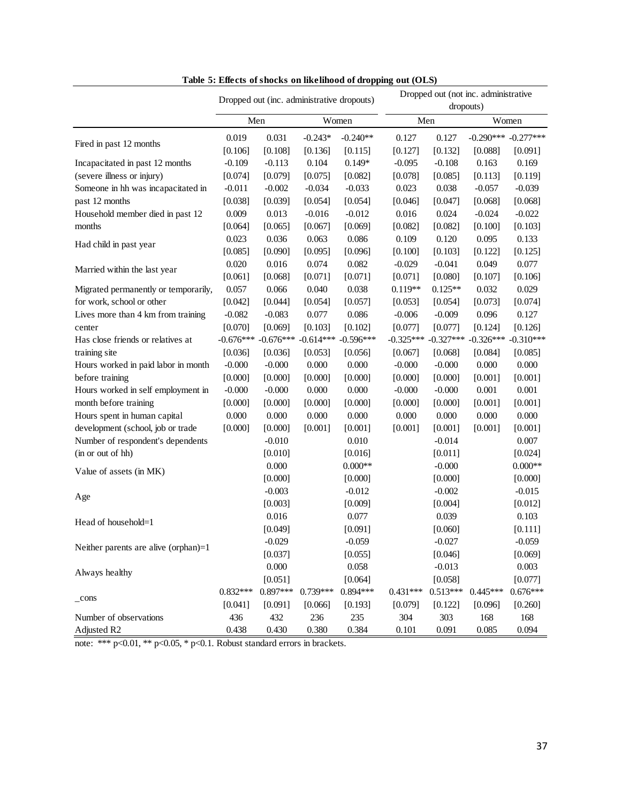|                                      | Dropped out (inc. administrative dropouts) |             |             |              | Dropped out (not inc. administrative |             |             |                         |  |
|--------------------------------------|--------------------------------------------|-------------|-------------|--------------|--------------------------------------|-------------|-------------|-------------------------|--|
|                                      |                                            |             |             |              | dropouts)                            |             |             |                         |  |
|                                      |                                            | Men         |             | Women<br>Men |                                      |             |             | Women                   |  |
|                                      | 0.019                                      | 0.031       | $-0.243*$   | $-0.240**$   | 0.127                                | 0.127       |             | $-0.290***$ $-0.277***$ |  |
| Fired in past 12 months              | [0.106]                                    | [0.108]     | [0.136]     | [0.115]      | [0.127]                              | [0.132]     | [0.088]     | [0.091]                 |  |
| Incapacitated in past 12 months      | $-0.109$                                   | $-0.113$    | 0.104       | $0.149*$     | $-0.095$                             | $-0.108$    | 0.163       | 0.169                   |  |
| (severe illness or injury)           | [0.074]                                    | [0.079]     | [0.075]     | [0.082]      | [0.078]                              | [0.085]     | [0.113]     | [0.119]                 |  |
| Someone in hh was incapacitated in   | $-0.011$                                   | $-0.002$    | $-0.034$    | $-0.033$     | 0.023                                | 0.038       | $-0.057$    | $-0.039$                |  |
| past 12 months                       | [0.038]                                    | [0.039]     | [0.054]     | [0.054]      | [0.046]                              | [0.047]     | [0.068]     | [0.068]                 |  |
| Household member died in past 12     | 0.009                                      | 0.013       | $-0.016$    | $-0.012$     | 0.016                                | 0.024       | $-0.024$    | $-0.022$                |  |
| months                               | [0.064]                                    | [0.065]     | [0.067]     | [0.069]      | [0.082]                              | [0.082]     | [0.100]     | [0.103]                 |  |
|                                      | 0.023                                      | 0.036       | 0.063       | 0.086        | 0.109                                | 0.120       | 0.095       | 0.133                   |  |
| Had child in past year               | [0.085]                                    | [0.090]     | [0.095]     | [0.096]      | [0.100]                              | [0.103]     | [0.122]     | [0.125]                 |  |
|                                      | 0.020                                      | 0.016       | 0.074       | 0.082        | $-0.029$                             | $-0.041$    | 0.049       | 0.077                   |  |
| Married within the last year         | [0.061]                                    | [0.068]     | [0.071]     | [0.071]      | [0.071]                              | [0.080]     | [0.107]     | [0.106]                 |  |
| Migrated permanently or temporarily, | 0.057                                      | 0.066       | 0.040       | 0.038        | $0.119**$                            | $0.125**$   | 0.032       | 0.029                   |  |
| for work, school or other            | [0.042]                                    | [0.044]     | [0.054]     | [0.057]      | [0.053]                              | [0.054]     | [0.073]     | [0.074]                 |  |
| Lives more than 4 km from training   | $-0.082$                                   | $-0.083$    | 0.077       | 0.086        | $-0.006$                             | $-0.009$    | 0.096       | 0.127                   |  |
| center                               | [0.070]                                    | [0.069]     | [0.103]     | [0.102]      | [0.077]                              | [0.077]     | [0.124]     | [0.126]                 |  |
| Has close friends or relatives at    | $-0.676***$                                | $-0.676***$ | $-0.614***$ | $-0.596***$  | $-0.325***$                          | $-0.327***$ | $-0.326***$ | $-0.310***$             |  |
| training site                        | [0.036]                                    | [0.036]     | [0.053]     | [0.056]      | [0.067]                              | [0.068]     | [0.084]     | [0.085]                 |  |
| Hours worked in paid labor in month  | $-0.000$                                   | $-0.000$    | 0.000       | 0.000        | $-0.000$                             | $-0.000$    | 0.000       | 0.000                   |  |
| before training                      | [0.000]                                    | [0.000]     | [0.000]     | [0.000]      | [0.000]                              | [0.000]     | [0.001]     | [0.001]                 |  |
| Hours worked in self employment in   | $-0.000$                                   | $-0.000$    | 0.000       | 0.000        | $-0.000$                             | $-0.000$    | 0.001       | 0.001                   |  |
| month before training                | [0.000]                                    | [0.000]     | [0.000]     | [0.000]      | [0.000]                              | [0.000]     | [0.001]     | [0.001]                 |  |
| Hours spent in human capital         | 0.000                                      | 0.000       | 0.000       | 0.000        | 0.000                                | 0.000       | 0.000       | 0.000                   |  |
| development (school, job or trade    | [0.000]                                    | [0.000]     | [0.001]     | [0.001]      | [0.001]                              | [0.001]     | [0.001]     | [0.001]                 |  |
| Number of respondent's dependents    |                                            | $-0.010$    |             | 0.010        |                                      | $-0.014$    |             | 0.007                   |  |
| (in or out of hh)                    |                                            | [0.010]     |             | [0.016]      |                                      | [0.011]     |             | [0.024]                 |  |
|                                      |                                            | 0.000       |             | $0.000**$    |                                      | $-0.000$    |             | $0.000**$               |  |
| Value of assets (in MK)              |                                            | [0.000]     |             | [0.000]      |                                      | [0.000]     |             | [0.000]                 |  |
|                                      |                                            | $-0.003$    |             | $-0.012$     |                                      | $-0.002$    |             | $-0.015$                |  |
| Age                                  |                                            | [0.003]     |             | [0.009]      |                                      | [0.004]     |             | [0.012]                 |  |
|                                      |                                            | 0.016       |             | 0.077        |                                      | 0.039       |             | 0.103                   |  |
| Head of household=1                  |                                            | [0.049]     |             | [0.091]      |                                      | [0.060]     |             | [0.111]                 |  |
|                                      |                                            | $-0.029$    |             | $-0.059$     |                                      | $-0.027$    |             | $-0.059$                |  |
| Neither parents are alive (orphan)=1 |                                            | [0.037]     |             | [0.055]      |                                      | [0.046]     |             | [0.069]                 |  |
|                                      |                                            | 0.000       |             | 0.058        |                                      | $-0.013$    |             | 0.003                   |  |
| Always healthy                       |                                            | [0.051]     |             | [0.064]      |                                      | [0.058]     |             | [0.077]                 |  |
|                                      | $0.832***$                                 | $0.897***$  | 0.739***    | $0.894***$   | $0.431***$                           | $0.513***$  | $0.445***$  | $0.676***$              |  |
| $_{\rm -cons}$                       | [0.041]                                    | [0.091]     | [0.066]     | [0.193]      | [0.079]                              | [0.122]     | [0.096]     | [0.260]                 |  |
| Number of observations               | 436                                        | 432         | 236         | 235          | 304                                  | 303         | 168         | 168                     |  |
| Adjusted R2                          | 0.438                                      | 0.430       | 0.380       | 0.384        | 0.101                                | 0.091       | 0.085       | 0.094                   |  |

**Table 5: Effects of shocks on likelihood of dropping out (OLS)**

note: \*\*\*  $p<0.01$ , \*\*  $p<0.05$ , \*  $p<0.1$ . Robust standard errors in brackets.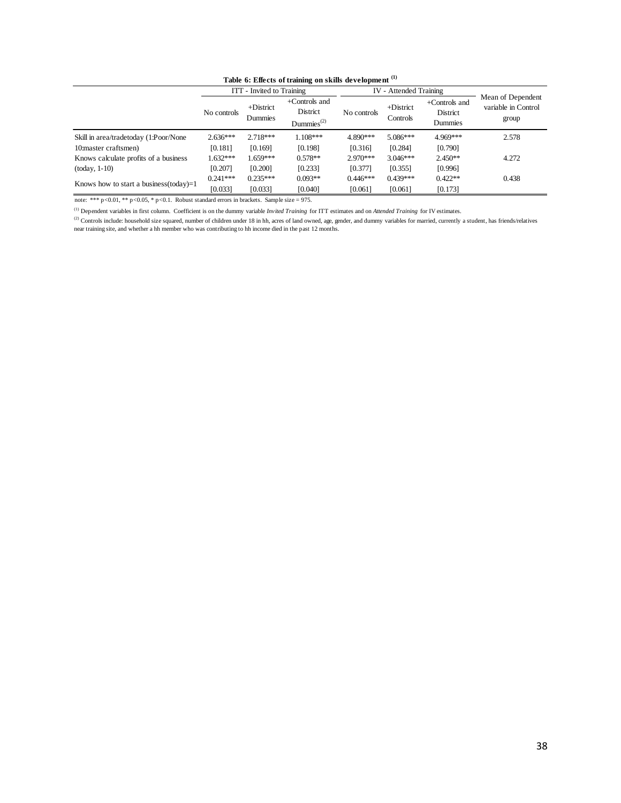| Table 6: Effects of training on skills development (1) |                           |
|--------------------------------------------------------|---------------------------|
| ITT - Invited to Training                              | <b>IV</b> - Attended Trai |

|                                                                                                                                                                                                |             | ITT - Invited to Training |                          | IV - Attended Training |             |               |                     |
|------------------------------------------------------------------------------------------------------------------------------------------------------------------------------------------------|-------------|---------------------------|--------------------------|------------------------|-------------|---------------|---------------------|
|                                                                                                                                                                                                |             |                           | +Controls and            |                        |             | +Controls and | Mean of Dependent   |
|                                                                                                                                                                                                | No controls | $+District$               | District                 | No controls            | $+District$ | District      | variable in Control |
|                                                                                                                                                                                                |             | Dummies                   | $\mathrm{Dummies}^{(2)}$ |                        | Controls    | Dummies       | group               |
|                                                                                                                                                                                                |             |                           |                          |                        |             |               |                     |
| Skill in area/tradetoday (1:Poor/None                                                                                                                                                          | 2.636***    | 2.718***                  | $1.108***$               | 4.890***               | 5.086***    | 4.969***      | 2.578               |
| 10:master craftsmen)                                                                                                                                                                           | [0.181]     | [0.169]                   | [0.198]                  | [0.316]                | [0.284]     | [0.790]       |                     |
| Knows calculate profits of a business                                                                                                                                                          | 1.632***    | 1.659***                  | $0.578**$                | 2.970***               | 3.046***    | $2.450**$     | 4.272               |
| $(today, 1-10)$                                                                                                                                                                                | [0.207]     | [0.200]                   | [0.233]                  | [0.377]                | [0.355]     | [0.996]       |                     |
|                                                                                                                                                                                                | $0.241***$  | $0.235***$                | $0.093**$                | $0.446***$             | $0.439***$  | $0.422**$     | 0.438               |
| Knows how to start a business(today)=1                                                                                                                                                         | [0.033]     | [0.033]                   | [0.040]                  | [0.061]                | [0.061]     | [0.173]       |                     |
| note: *** $p < 0.01$ , ** $p < 0.05$ , * $p < 0.1$ . Robust standard errors in brackets. Sample size = 975.                                                                                    |             |                           |                          |                        |             |               |                     |
| <sup>(1)</sup> Dependent variables in first column. Coefficient is on the dummy variable Invited Training for ITT estimates and on Attended Training for IV estimates.                         |             |                           |                          |                        |             |               |                     |
| (2) Controls include: household size squared, number of children under 18 in hh, acres of land owned, age, gender, and dummy variables for married, currently a student, has friends/relatives |             |                           |                          |                        |             |               |                     |
| near training site, and whether a hh member who was contributing to hh income died in the past 12 months.                                                                                      |             |                           |                          |                        |             |               |                     |
|                                                                                                                                                                                                |             |                           |                          |                        |             |               |                     |
|                                                                                                                                                                                                |             |                           |                          |                        |             |               |                     |
|                                                                                                                                                                                                |             |                           |                          |                        |             |               |                     |
|                                                                                                                                                                                                |             |                           |                          |                        |             |               |                     |
|                                                                                                                                                                                                |             |                           |                          |                        |             |               |                     |
|                                                                                                                                                                                                |             |                           |                          |                        |             |               |                     |
|                                                                                                                                                                                                |             |                           |                          |                        |             |               |                     |
|                                                                                                                                                                                                |             |                           |                          |                        |             |               |                     |
|                                                                                                                                                                                                |             |                           |                          |                        |             |               |                     |
|                                                                                                                                                                                                |             |                           |                          |                        |             |               |                     |
|                                                                                                                                                                                                |             |                           |                          |                        |             |               |                     |
|                                                                                                                                                                                                |             |                           |                          |                        |             |               |                     |
|                                                                                                                                                                                                |             |                           |                          |                        |             |               |                     |
|                                                                                                                                                                                                |             |                           |                          |                        |             |               |                     |
|                                                                                                                                                                                                |             |                           |                          |                        |             |               |                     |
|                                                                                                                                                                                                |             |                           |                          |                        |             |               |                     |
|                                                                                                                                                                                                |             |                           |                          |                        |             |               |                     |
|                                                                                                                                                                                                |             |                           |                          |                        |             |               |                     |
|                                                                                                                                                                                                |             |                           |                          |                        |             |               |                     |
|                                                                                                                                                                                                |             |                           |                          |                        |             |               |                     |
|                                                                                                                                                                                                |             |                           |                          |                        |             |               |                     |
|                                                                                                                                                                                                |             |                           |                          |                        |             |               |                     |
|                                                                                                                                                                                                |             |                           |                          |                        |             |               |                     |
|                                                                                                                                                                                                |             |                           |                          |                        |             |               |                     |
|                                                                                                                                                                                                |             |                           |                          |                        |             |               |                     |
|                                                                                                                                                                                                |             |                           |                          |                        |             |               |                     |
|                                                                                                                                                                                                |             |                           |                          |                        |             |               |                     |
|                                                                                                                                                                                                |             |                           |                          |                        |             |               |                     |
|                                                                                                                                                                                                |             |                           |                          |                        |             |               |                     |
|                                                                                                                                                                                                |             |                           |                          |                        |             |               |                     |
|                                                                                                                                                                                                |             |                           |                          |                        |             |               |                     |
|                                                                                                                                                                                                |             |                           |                          |                        |             |               |                     |
|                                                                                                                                                                                                |             |                           |                          |                        |             |               |                     |
|                                                                                                                                                                                                |             |                           |                          |                        |             |               |                     |
|                                                                                                                                                                                                |             |                           |                          |                        |             |               |                     |
|                                                                                                                                                                                                |             |                           |                          |                        |             |               |                     |
|                                                                                                                                                                                                |             |                           |                          |                        |             |               |                     |
|                                                                                                                                                                                                |             |                           |                          |                        |             |               |                     |
|                                                                                                                                                                                                |             |                           |                          |                        |             |               |                     |
|                                                                                                                                                                                                |             |                           |                          |                        |             |               |                     |
|                                                                                                                                                                                                |             |                           |                          |                        |             |               |                     |
|                                                                                                                                                                                                |             |                           |                          |                        |             |               |                     |
|                                                                                                                                                                                                |             |                           |                          |                        |             |               |                     |
|                                                                                                                                                                                                |             |                           |                          |                        |             |               |                     |
|                                                                                                                                                                                                |             |                           |                          |                        |             |               |                     |
|                                                                                                                                                                                                |             |                           |                          |                        |             |               |                     |
|                                                                                                                                                                                                |             |                           |                          |                        |             |               |                     |
|                                                                                                                                                                                                |             |                           |                          |                        |             |               |                     |
|                                                                                                                                                                                                |             |                           |                          |                        |             |               |                     |
|                                                                                                                                                                                                |             |                           |                          |                        |             |               |                     |
|                                                                                                                                                                                                |             |                           |                          |                        |             |               |                     |
|                                                                                                                                                                                                |             |                           |                          |                        |             |               |                     |
|                                                                                                                                                                                                |             |                           |                          |                        |             |               |                     |
|                                                                                                                                                                                                |             |                           |                          |                        |             |               |                     |
|                                                                                                                                                                                                |             |                           |                          |                        |             |               |                     |
|                                                                                                                                                                                                |             |                           |                          |                        |             |               |                     |
|                                                                                                                                                                                                |             |                           |                          |                        |             |               | 38                  |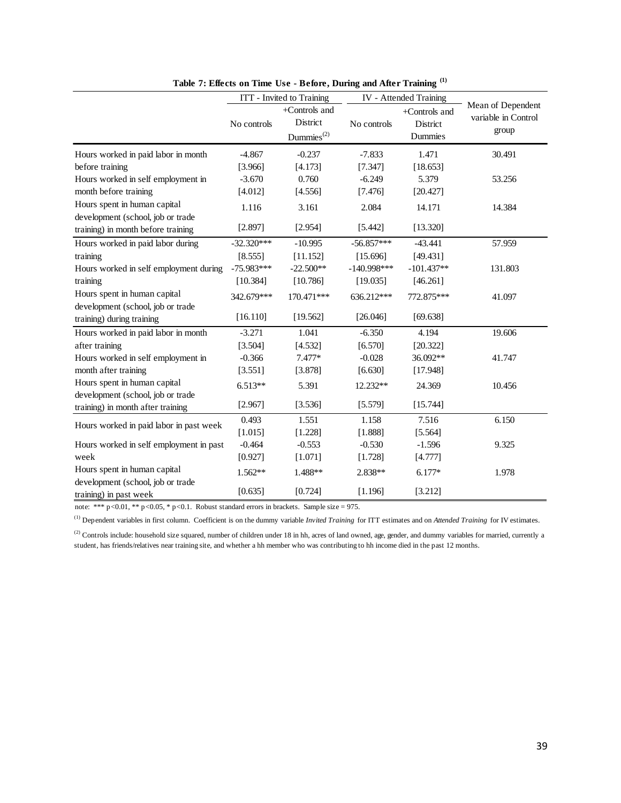|                                                             | ITT - Invited to Training |                                                        |               | IV - Attended Training               |                                                   |  |
|-------------------------------------------------------------|---------------------------|--------------------------------------------------------|---------------|--------------------------------------|---------------------------------------------------|--|
|                                                             | No controls               | +Controls and<br>District<br>$D$ ummies <sup>(2)</sup> | No controls   | +Controls and<br>District<br>Dummies | Mean of Dependent<br>variable in Control<br>group |  |
| Hours worked in paid labor in month                         | $-4.867$                  | $-0.237$                                               | $-7.833$      | 1.471                                | 30.491                                            |  |
| before training                                             | [3.966]                   | [4.173]                                                | [7.347]       | [18.653]                             |                                                   |  |
| Hours worked in self employment in                          | $-3.670$                  | 0.760                                                  | $-6.249$      | 5.379                                | 53.256                                            |  |
| month before training                                       | [4.012]                   | [4.556]                                                | [7.476]       | [20.427]                             |                                                   |  |
| Hours spent in human capital                                | 1.116                     | 3.161                                                  | 2.084         | 14.171                               | 14.384                                            |  |
| development (school, job or trade                           |                           |                                                        |               |                                      |                                                   |  |
| training) in month before training                          | [2.897]                   | [2.954]                                                | [5.442]       | [13.320]                             |                                                   |  |
| Hours worked in paid labor during                           | $-32.320***$              | $-10.995$                                              | $-56.857***$  | $-43.441$                            | 57.959                                            |  |
| training                                                    | [8.555]                   | [11.152]                                               | [15.696]      | [49.431]                             |                                                   |  |
| Hours worked in self employment during                      | $-75.983***$              | $-22.500**$                                            | $-140.998***$ | $-101.437**$                         | 131.803                                           |  |
| training                                                    | [10.384]                  | [10.786]                                               | [19.035]      | [46.261]                             |                                                   |  |
| Hours spent in human capital                                | 342.679***                | 170.471***                                             | 636.212***    | 772.875***                           | 41.097                                            |  |
| development (school, job or trade                           |                           |                                                        |               |                                      |                                                   |  |
| training) during training                                   | [16.110]                  | [19.562]                                               | [26.046]      | [69.638]                             |                                                   |  |
| Hours worked in paid labor in month                         | $-3.271$                  | 1.041                                                  | $-6.350$      | 4.194                                | 19.606                                            |  |
| after training                                              | [3.504]                   | [4.532]                                                | [6.570]       | [20.322]                             |                                                   |  |
| Hours worked in self employment in                          | $-0.366$                  | 7.477*                                                 | $-0.028$      | 36.092**                             | 41.747                                            |  |
| month after training                                        | [3.551]                   | [3.878]                                                | [6.630]       | [17.948]                             |                                                   |  |
| Hours spent in human capital                                | $6.513**$                 | 5.391                                                  | 12.232**      | 24.369                               | 10.456                                            |  |
| development (school, job or trade                           |                           |                                                        |               |                                      |                                                   |  |
| training) in month after training                           | [2.967]                   | [3.536]                                                | [5.579]       | [15.744]                             |                                                   |  |
| Hours worked in paid labor in past week                     | 0.493                     | 1.551                                                  | 1.158         | 7.516                                | 6.150                                             |  |
|                                                             | [1.015]                   | [1.228]                                                | [1.888]       | [5.564]                              |                                                   |  |
| Hours worked in self employment in past                     | $-0.464$                  | $-0.553$                                               | $-0.530$      | $-1.596$                             | 9.325                                             |  |
| week                                                        | [0.927]                   | [1.071]                                                | [1.728]       | [4.777]                              |                                                   |  |
| Hours spent in human capital                                | $1.562**$                 | 1.488**                                                | 2.838**       | $6.177*$                             | 1.978                                             |  |
| development (school, job or trade<br>training) in past week | [0.635]                   | [0.724]                                                | [1.196]       | [3.212]                              |                                                   |  |

**Table 7: Effects on Time Use - Before, During and After Training (1)**

note: \*\*\* p<0.01, \*\* p<0.05, \* p<0.1. Robust standard errors in brackets. Sample size = 975.

(1) Dependent variables in first column. Coefficient is on the dummy variable *Invited Training* for ITT estimates and on *Attended Training* for IV estimates.

<sup>(2)</sup> Controls include: household size squared, number of children under 18 in hh, acres of land owned, age, gender, and dummy variables for married, currently a student, has friends/relatives near training site, and whether a hh member who was contributing to hh income died in the past 12 months.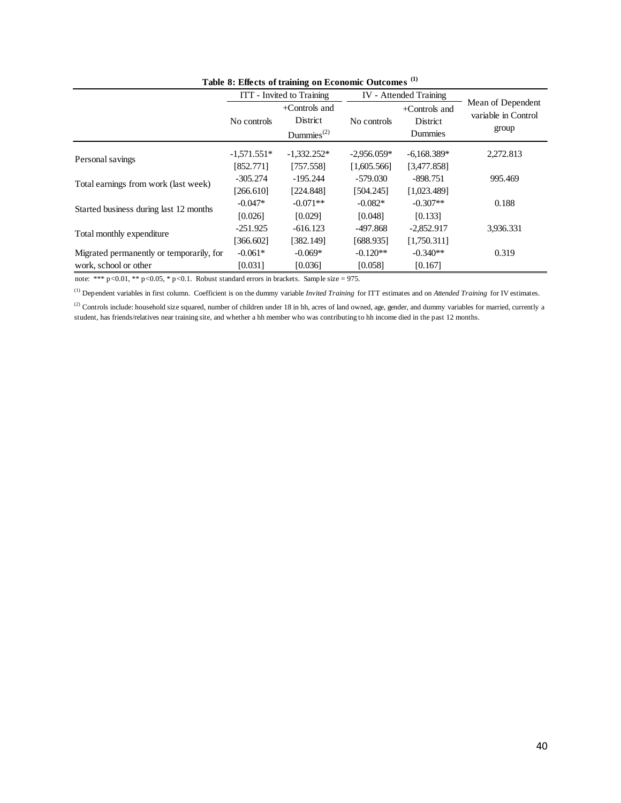|                                                                                                                                                                                |               | ITT - Invited to Training                                                                          | IV - Attended Training |               |                     |
|--------------------------------------------------------------------------------------------------------------------------------------------------------------------------------|---------------|----------------------------------------------------------------------------------------------------|------------------------|---------------|---------------------|
|                                                                                                                                                                                |               | +Controls and                                                                                      |                        | +Controls and | Mean of Dependent   |
|                                                                                                                                                                                | No controls   | District                                                                                           | No controls            | District      | variable in Control |
|                                                                                                                                                                                |               | Dummies $^{(2)}$                                                                                   |                        | Dummies       | group               |
|                                                                                                                                                                                |               |                                                                                                    |                        |               |                     |
| Personal savings                                                                                                                                                               | $-1,571.551*$ | $-1,332.252*$                                                                                      | $-2,956.059*$          | $-6,168.389*$ | 2,272.813           |
|                                                                                                                                                                                | [852.771]     | [757.558]                                                                                          | [1,605.566]            | [3,477.858]   |                     |
| Total earnings from work (last week)                                                                                                                                           | $-305.274$    | $-195.244$                                                                                         | $-579.030$             | $-898.751$    | 995.469             |
|                                                                                                                                                                                | [266.610]     | [224.848]                                                                                          | [504.245]              | [1,023.489]   |                     |
| Started business during last 12 months                                                                                                                                         | $-0.047*$     | $-0.071**$                                                                                         | $-0.082*$              | $-0.307**$    | 0.188               |
|                                                                                                                                                                                |               | [0.026]<br>[0.029]<br>[0.048]<br>[0.133]<br>$-251.925$<br>$-616.123$<br>$-497.868$<br>$-2,852.917$ |                        |               |                     |
| Total monthly expenditure                                                                                                                                                      |               |                                                                                                    |                        |               | 3,936.331           |
|                                                                                                                                                                                | [366.602]     | [382.149]                                                                                          | [688.935]              | [1,750.311]   |                     |
| Migrated permanently or temporarily, for                                                                                                                                       | $-0.061*$     | $-0.069*$                                                                                          | $-0.120**$             | $-0.340**$    | 0.319               |
| work, school or other                                                                                                                                                          | [0.031]       | [0.036]                                                                                            | [0.058]                | [0.167]       |                     |
| note: *** $p < 0.01$ , ** $p < 0.05$ , * $p < 0.1$ . Robust standard errors in brackets. Sample size = 975.                                                                    |               |                                                                                                    |                        |               |                     |
| $^{(1)}$ Dependent variables in first column. Coefficient is on the dummy variable <i>Invited Training</i> for ITT estimates and on <i>Attended Training</i> for IV estimates. |               |                                                                                                    |                        |               |                     |
| <sup>(2)</sup> Controls include: household size squared, number of children under 18 in hh, acres of land owned, age, gender, and dummy variables for married, currently a     |               |                                                                                                    |                        |               |                     |
| student, has friends/relatives near training site, and whether a hh member who was contributing to hh income died in the past 12 months.                                       |               |                                                                                                    |                        |               |                     |
|                                                                                                                                                                                |               |                                                                                                    |                        |               |                     |
|                                                                                                                                                                                |               |                                                                                                    |                        |               |                     |
|                                                                                                                                                                                |               |                                                                                                    |                        |               |                     |
|                                                                                                                                                                                |               |                                                                                                    |                        |               |                     |
|                                                                                                                                                                                |               |                                                                                                    |                        |               |                     |
|                                                                                                                                                                                |               |                                                                                                    |                        |               |                     |
|                                                                                                                                                                                |               |                                                                                                    |                        |               |                     |
|                                                                                                                                                                                |               |                                                                                                    |                        |               |                     |
|                                                                                                                                                                                |               |                                                                                                    |                        |               |                     |
|                                                                                                                                                                                |               |                                                                                                    |                        |               |                     |
|                                                                                                                                                                                |               |                                                                                                    |                        |               |                     |
|                                                                                                                                                                                |               |                                                                                                    |                        |               |                     |
|                                                                                                                                                                                |               |                                                                                                    |                        |               |                     |
|                                                                                                                                                                                |               |                                                                                                    |                        |               |                     |
|                                                                                                                                                                                |               |                                                                                                    |                        |               |                     |
|                                                                                                                                                                                |               |                                                                                                    |                        |               |                     |
|                                                                                                                                                                                |               |                                                                                                    |                        |               |                     |
|                                                                                                                                                                                |               |                                                                                                    |                        |               |                     |
|                                                                                                                                                                                |               |                                                                                                    |                        |               |                     |
|                                                                                                                                                                                |               |                                                                                                    |                        |               |                     |
|                                                                                                                                                                                |               |                                                                                                    |                        |               |                     |
|                                                                                                                                                                                |               |                                                                                                    |                        |               |                     |
|                                                                                                                                                                                |               |                                                                                                    |                        |               |                     |
|                                                                                                                                                                                |               |                                                                                                    |                        |               |                     |
|                                                                                                                                                                                |               |                                                                                                    |                        |               |                     |
|                                                                                                                                                                                |               |                                                                                                    |                        |               |                     |
|                                                                                                                                                                                |               |                                                                                                    |                        |               |                     |
|                                                                                                                                                                                |               |                                                                                                    |                        |               |                     |
|                                                                                                                                                                                |               |                                                                                                    |                        |               |                     |
|                                                                                                                                                                                |               |                                                                                                    |                        |               |                     |
|                                                                                                                                                                                |               |                                                                                                    |                        |               |                     |
|                                                                                                                                                                                |               |                                                                                                    |                        |               |                     |
|                                                                                                                                                                                |               |                                                                                                    |                        |               |                     |
|                                                                                                                                                                                |               |                                                                                                    |                        |               |                     |
|                                                                                                                                                                                |               |                                                                                                    |                        |               |                     |
|                                                                                                                                                                                |               |                                                                                                    |                        |               | 40                  |

**Table 8: Effects of training on Economic Outcomes (1)**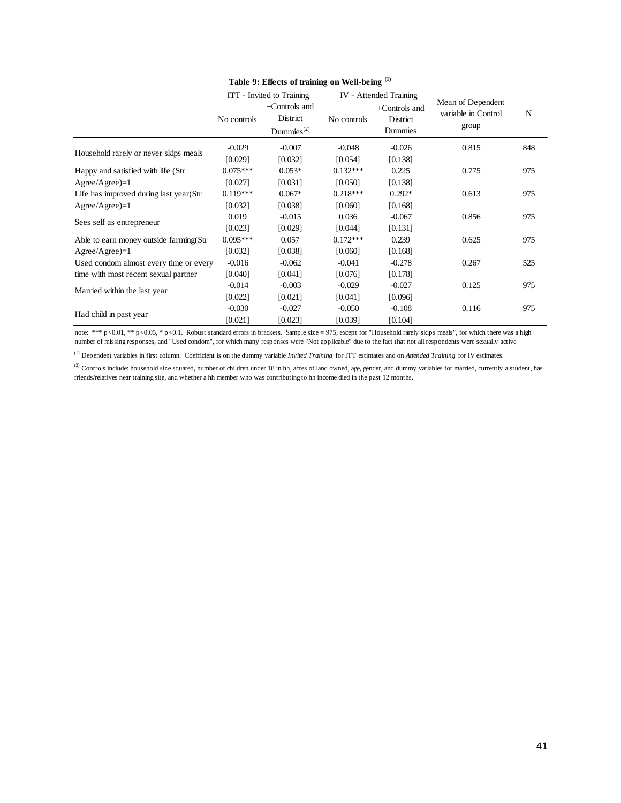|                                         |             | ITT - Invited to Training                        |             |                                      |                                                   |     |
|-----------------------------------------|-------------|--------------------------------------------------|-------------|--------------------------------------|---------------------------------------------------|-----|
|                                         | No controls | $+$ Controls and<br>District<br>Dummies $^{(2)}$ | No controls | +Controls and<br>District<br>Dummies | Mean of Dependent<br>variable in Control<br>group | N   |
|                                         | $-0.029$    | $-0.007$                                         | $-0.048$    | $-0.026$                             | 0.815                                             | 848 |
| Household rarely or never skips meals   | [0.029]     | [0.032]                                          | [0.054]     | [0.138]                              |                                                   |     |
| Happy and satisfied with life (Str      | $0.075***$  | $0.053*$                                         | $0.132***$  | 0.225                                | 0.775                                             | 975 |
| $Agree/Agree)=1$                        | [0.027]     | [0.031]                                          | [0.050]     | [0.138]                              |                                                   |     |
| Life has improved during last year (Str | $0.119***$  | $0.067*$                                         | $0.218***$  | $0.292*$                             | 0.613                                             | 975 |
| $Agree/Agree$ =1                        | [0.032]     | [0.038]                                          | [0.060]     | [0.168]                              |                                                   |     |
| Sees self as entrepreneur               | 0.019       | $-0.015$                                         | 0.036       | $-0.067$                             | 0.856                                             | 975 |
|                                         | [0.023]     | [0.029]                                          | [0.044]     | [0.131]                              |                                                   |     |
| Able to earn money outside farming (Str | $0.095***$  | 0.057                                            | $0.172***$  | 0.239                                | 0.625                                             | 975 |
| $Agree/Agree$ =1                        | [0.032]     | [0.038]                                          | [0.060]     | [0.168]                              |                                                   |     |
| Used condom almost every time or every  | $-0.016$    | $-0.062$                                         | $-0.041$    | $-0.278$                             | 0.267                                             | 525 |
| time with most recent sexual partner    | [0.040]     | [0.041]                                          | [0.076]     | [0.178]                              |                                                   |     |
| Married within the last year            | $-0.014$    | $-0.003$                                         | $-0.029$    | $-0.027$                             | 0.125                                             | 975 |
|                                         | [0.022]     | [0.021]                                          | [0.041]     | [0.096]                              |                                                   |     |
| Had child in past year                  | $-0.030$    | $-0.027$                                         | $-0.050$    | $-0.108$                             | 0.116                                             | 975 |
|                                         | [0.021]     | [0.023]                                          | [0.039]     | [0.104]                              |                                                   |     |

**Table 9: Effects of training on Well-being (1)**

note: \*\*\* p<0.01, \*\* p<0.05, \* p<0.1. Robust standard errors in brackets. Sample size = 975, except for "Household rarely skips meals", for which there was a high number of missing responses, and "Used condom", for which many responses were "Not applicable" due to the fact that not all respondents were sexually active

(1) Dependent variables in first column. Coefficient is on the dummy variable *Invited Training* for ITT estimates and on *Attended Training* for IV estimates.

<sup>(2)</sup> Controls include: household size squared, number of children under 18 in hh, acres of land owned, age, gender, and dummy variables for married, currently a student, has friends/relatives near training site, and whether a hh member who was contributing to hh income died in the past 12 months.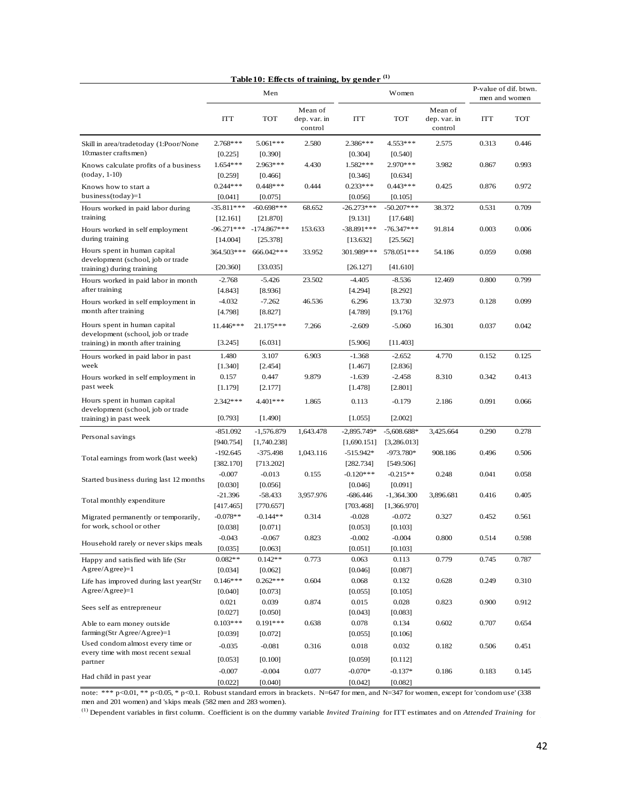|                                                                                                        |                                      |                                       |                                    | Table 10: Effects of training, by gender (1) |                                      |                                    |       |                                        |
|--------------------------------------------------------------------------------------------------------|--------------------------------------|---------------------------------------|------------------------------------|----------------------------------------------|--------------------------------------|------------------------------------|-------|----------------------------------------|
|                                                                                                        |                                      | Men                                   |                                    |                                              | Women                                |                                    |       | P-value of dif. btwn.<br>men and women |
|                                                                                                        | ITT                                  | <b>TOT</b>                            | Mean of<br>dep. var. in<br>control | ITT                                          | <b>TOT</b>                           | Mean of<br>dep. var. in<br>control | ITT   | <b>TOT</b>                             |
| Skill in area/tradetoday (1:Poor/None<br>10:master craftsmen)                                          | 2.768 ***<br>[0.225]                 | 5.061***<br>[0.390]                   | 2.580                              | 2.386***<br>[0.304]                          | 4.553***<br>[0.540]                  | 2.575                              | 0.313 | 0.446                                  |
| Knows calculate profits of a business<br>$(today, 1-10)$                                               | 1.654 ***<br>[0.259]                 | 2.963 ***<br>[0.466]                  | 4.430                              | 1.582***<br>[0.346]                          | 2.970 ***<br>[0.634]                 | 3.982                              | 0.867 | 0.993                                  |
| Knows how to start a<br>business (today)=1                                                             | $0.244***$<br>[0.041]                | $0.448***$<br>[0.075]                 | 0.444                              | $0.233***$<br>[0.056]                        | $0.443***$<br>[0.105]                | 0.425                              | 0.876 | 0.972                                  |
| Hours worked in paid labor during<br>training                                                          | $-35.811***$                         | $-60.698***$                          | 68.652                             | $-26.273***$                                 | $-50.207***$                         | 38.372                             | 0.531 | 0.709                                  |
| Hours worked in self employment<br>during training                                                     | [12.161]<br>$-96.271***$<br>[14.004] | [21.870]<br>$-174.867***$<br>[25.378] | 153.633                            | [9.131]<br>$-38.891***$<br>[13.632]          | [17.648]<br>$-76.347***$<br>[25.562] | 91.814                             | 0.003 | 0.006                                  |
| Hours spent in human capital<br>development (school, job or trade<br>training) during training         | 364.503***<br>[20.360]               | 666.042***<br>[33.035]                | 33.952                             | 301.989***<br>[26.127]                       | 578.051***<br>[41.610]               | 54.186                             | 0.059 | 0.098                                  |
| Hours worked in paid labor in month<br>after training                                                  | $-2.768$<br>[4.843]                  | $-5.426$<br>[8.936]                   | 23.502                             | $-4.405$<br>[4.294]                          | $-8.536$<br>[8.292]                  | 12.469                             | 0.800 | 0.799                                  |
| Hours worked in self employment in<br>month after training                                             | $-4.032$<br>[4.798]                  | $-7.262$<br>[8.827]                   | 46.536                             | 6.296<br>[4.789]                             | 13.730<br>[9.176]                    | 32.973                             | 0.128 | 0.099                                  |
| Hours spent in human capital<br>development (school, job or trade<br>training) in month after training | 11.446***<br>[3.245]                 | 21.175***<br>[6.031]                  | 7.266                              | $-2.609$<br>[5.906]                          | $-5.060$<br>[11.403]                 | 16.301                             | 0.037 | 0.042                                  |
| Hours worked in paid labor in past<br>week                                                             | 1.480<br>[1.340]                     | 3.107<br>[2.454]                      | 6.903                              | $-1.368$<br>[1.467]                          | $-2.652$<br>[2.836]                  | 4.770                              | 0.152 | 0.125                                  |
| Hours worked in self employment in<br>past week                                                        | 0.157<br>[1.179]                     | 0.447<br>[2.177]                      | 9.879                              | $-1.639$<br>[1.478]                          | $-2.458$<br>[2.801]                  | 8.310                              | 0.342 | 0.413                                  |
| Hours spent in human capital<br>development (school, job or trade<br>training) in past week            | $2.342***$<br>[0.793]                | 4.401***<br>[1.490]                   | 1.865                              | 0.113<br>[1.055]                             | $-0.179$<br>[2.002]                  | 2.186                              | 0.091 | 0.066                                  |
| Personal savings                                                                                       | $-851.092$<br>[940.754]              | $-1,576.879$<br>[1,740.238]           | 1,643.478                          | $-2,895.749*$<br>[1,690.151]                 | $-5,608.688*$<br>[3,286.013]         | 3,425.664                          | 0.290 | 0.278                                  |
| Total earnings from work (last week)                                                                   | $-192.645$<br>[382.170]              | $-375.498$<br>[713.202]               | 1,043.116                          | $-515.942*$<br>[282.734]                     | $-973.780*$<br>[549.506]             | 908.186                            | 0.496 | 0.506                                  |
| Started business during last 12 months                                                                 | $-0.007$<br>[0.030]                  | $-0.013$<br>[0.056]                   | 0.155                              | $-0.120***$<br>[0.046]                       | $-0.215**$<br>[0.091]                | 0.248                              | 0.041 | 0.058                                  |
| Total monthly expenditure                                                                              | $-21.396$<br>[417.465]               | $-58.433$<br>[770.657]                | 3,957.976                          | $-686.446$<br>[703.468]                      | $-1,364.300$<br>[1,366.970]          | 3,896.681                          | 0.416 | 0.405                                  |
| Migrated permanently or temporarily,<br>for work, school or other                                      | $-0.078**$<br>[0.038]                | $-0.144**$<br>[0.071]                 | 0.314                              | $-0.028$<br>[0.053]                          | $-0.072$<br>[0.103]                  | 0.327                              | 0.452 | 0.561                                  |
| Household rarely or never skips meals                                                                  | $-0.043$<br>[0.035]                  | $-0.067$<br>[0.063]                   | 0.823                              | $-0.002$<br>[0.051]                          | $-0.004$<br>[0.103]                  | 0.800                              | 0.514 | 0.598                                  |
| Happy and satisfied with life (Str<br>$Agree/Agree)=1$                                                 | $0.082**$<br>[0.034]                 | $0.142**$<br>[0.062]                  | 0.773                              | 0.063<br>[0.046]                             | 0.113<br>[0.087]                     | 0.779                              | 0.745 | 0.787                                  |
| Life has improved during last year(Str<br>$Agree/Agree)=1$                                             | $0.146***$<br>[0.040]                | $0.262***$<br>[0.073]                 | 0.604                              | 0.068<br>[0.055]                             | 0.132<br>[0.105]                     | 0.628                              | 0.249 | 0.310                                  |
| Sees self as entrepreneur                                                                              | 0.021<br>[0.027]                     | 0.039<br>[0.050]                      | 0.874                              | 0.015<br>[0.043]                             | 0.028<br>[0.083]                     | 0.823                              | 0.900 | 0.912                                  |
| Able to earn money outside<br>farming (Str Agree/Agree)= $1$                                           | $0.103***$<br>[0.039]                | $0.191***$<br>[0.072]                 | 0.638                              | 0.078<br>[0.055]                             | 0.134<br>[0.106]                     | 0.602                              | 0.707 | 0.654                                  |
| Used condom almost every time or<br>every time with most recent sexual<br>partner                      | $-0.035$<br>[0.053]                  | $-0.081$<br>[0.100]                   | 0.316                              | 0.018<br>[0.059]                             | 0.032<br>[0.112]                     | 0.182                              | 0.506 | 0.451                                  |
| Had child in past year                                                                                 | $-0.007$<br>[0.022]                  | $-0.004$<br>[0.040]                   | 0.077                              | $-0.070*$<br>[0.042]                         | $-0.137*$<br>[0.082]                 | 0.186                              | 0.183 | 0.145                                  |

note: \*\*\* p<0.01, \*\* p<0.05, \* p<0.1. Robust standard errors in brackets. N=647 for men, and N=347 for women, except for 'condom use' (338 men and 201 women) and 'skips meals (582 men and 283 women).

(1) Dependent variables in first column. Coefficient is on the dummy variable *Invited Training* for ITT estimates and on *Attended Training* for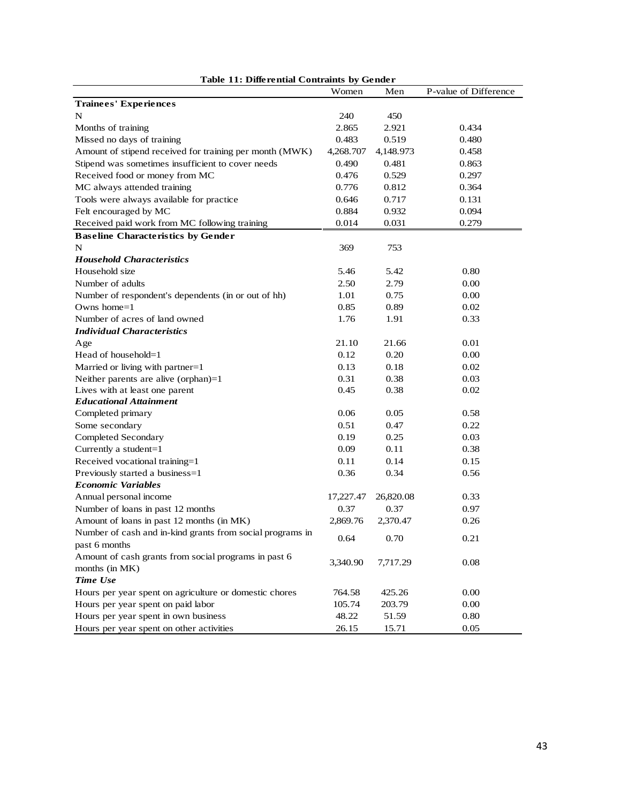| Table 11: Differential Contraints by Gender               |           |           |                       |  |  |  |  |  |
|-----------------------------------------------------------|-----------|-----------|-----------------------|--|--|--|--|--|
|                                                           | Women     | Men       | P-value of Difference |  |  |  |  |  |
| Trainees' Experiences                                     |           |           |                       |  |  |  |  |  |
| N                                                         | 240       | 450       |                       |  |  |  |  |  |
| Months of training                                        | 2.865     | 2.921     | 0.434                 |  |  |  |  |  |
| Missed no days of training                                | 0.483     | 0.519     | 0.480                 |  |  |  |  |  |
| Amount of stipend received for training per month (MWK)   | 4,268.707 | 4,148.973 | 0.458                 |  |  |  |  |  |
| Stipend was sometimes insufficient to cover needs         | 0.490     | 0.481     | 0.863                 |  |  |  |  |  |
| Received food or money from MC                            | 0.476     | 0.529     | 0.297                 |  |  |  |  |  |
| MC always attended training                               | 0.776     | 0.812     | 0.364                 |  |  |  |  |  |
| Tools were always available for practice                  | 0.646     | 0.717     | 0.131                 |  |  |  |  |  |
| Felt encouraged by MC                                     | 0.884     | 0.932     | 0.094                 |  |  |  |  |  |
| Received paid work from MC following training             | 0.014     | 0.031     | 0.279                 |  |  |  |  |  |
| <b>Baseline Characteristics by Gender</b>                 |           |           |                       |  |  |  |  |  |
| N                                                         | 369       | 753       |                       |  |  |  |  |  |
| <b>Household Characteristics</b>                          |           |           |                       |  |  |  |  |  |
| Household size                                            | 5.46      | 5.42      | 0.80                  |  |  |  |  |  |
| Number of adults                                          | 2.50      | 2.79      | 0.00                  |  |  |  |  |  |
| Number of respondent's dependents (in or out of hh)       | 1.01      | 0.75      | 0.00                  |  |  |  |  |  |
| Owns home $=1$                                            | 0.85      | 0.89      | 0.02                  |  |  |  |  |  |
| Number of acres of land owned                             | 1.76      | 1.91      | 0.33                  |  |  |  |  |  |
| <b>Individual Characteristics</b>                         |           |           |                       |  |  |  |  |  |
| Age                                                       | 21.10     | 21.66     | 0.01                  |  |  |  |  |  |
| Head of household=1                                       | 0.12      | 0.20      | 0.00                  |  |  |  |  |  |
| Married or living with partner=1                          | 0.13      | 0.18      | 0.02                  |  |  |  |  |  |
| Neither parents are alive (orphan)=1                      | 0.31      | 0.38      | 0.03                  |  |  |  |  |  |
| Lives with at least one parent                            | 0.45      | 0.38      | 0.02                  |  |  |  |  |  |
| <b>Educational Attainment</b>                             |           |           |                       |  |  |  |  |  |
| Completed primary                                         | 0.06      | 0.05      | 0.58                  |  |  |  |  |  |
| Some secondary                                            | 0.51      | 0.47      | 0.22                  |  |  |  |  |  |
| Completed Secondary                                       | 0.19      | 0.25      | 0.03                  |  |  |  |  |  |
| Currently a student=1                                     | 0.09      | 0.11      | 0.38                  |  |  |  |  |  |
| Received vocational training=1                            | 0.11      | 0.14      | 0.15                  |  |  |  |  |  |
| Previously started a business=1                           | 0.36      | 0.34      | 0.56                  |  |  |  |  |  |
| <b>Economic Variables</b>                                 |           |           |                       |  |  |  |  |  |
| Annual personal income                                    | 17,227.47 | 26,820.08 | 0.33                  |  |  |  |  |  |
| Number of loans in past 12 months                         | 0.37      | 0.37      | 0.97                  |  |  |  |  |  |
| Amount of loans in past 12 months (in MK)                 | 2,869.76  | 2,370.47  | 0.26                  |  |  |  |  |  |
| Number of cash and in-kind grants from social programs in | 0.64      | 0.70      | 0.21                  |  |  |  |  |  |
| past 6 months                                             |           |           |                       |  |  |  |  |  |
| Amount of cash grants from social programs in past 6      | 3,340.90  | 7,717.29  | 0.08                  |  |  |  |  |  |
| months (in MK)                                            |           |           |                       |  |  |  |  |  |
| Time Use                                                  |           |           |                       |  |  |  |  |  |
| Hours per year spent on agriculture or domestic chores    | 764.58    | 425.26    | 0.00                  |  |  |  |  |  |
| Hours per year spent on paid labor                        | 105.74    | 203.79    | 0.00                  |  |  |  |  |  |
| Hours per year spent in own business                      | 48.22     | 51.59     | 0.80                  |  |  |  |  |  |
| Hours per year spent on other activities                  | 26.15     | 15.71     | 0.05                  |  |  |  |  |  |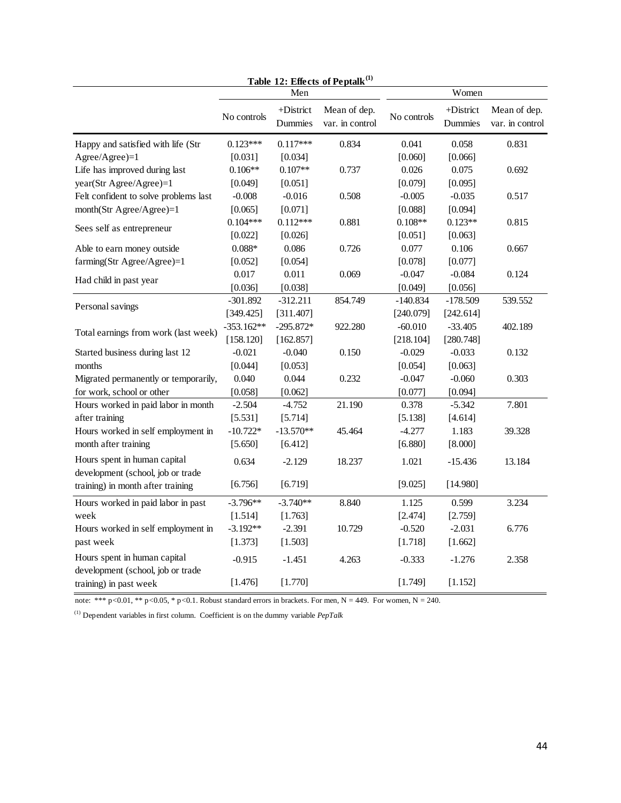| Table 12: Effects of Peptalk <sup>(1)</sup>                       |              |                      |                                 |             |                         |                                 |  |  |  |
|-------------------------------------------------------------------|--------------|----------------------|---------------------------------|-------------|-------------------------|---------------------------------|--|--|--|
|                                                                   |              | Men                  |                                 | Women       |                         |                                 |  |  |  |
|                                                                   | No controls  | +District<br>Dummies | Mean of dep.<br>var. in control | No controls | $+$ District<br>Dummies | Mean of dep.<br>var. in control |  |  |  |
| Happy and satisfied with life (Str                                | $0.123***$   | $0.117***$           | 0.834                           | 0.041       | 0.058                   | 0.831                           |  |  |  |
| Agree/Agree)=1                                                    | [0.031]      | [0.034]              |                                 | [0.060]     | [0.066]                 |                                 |  |  |  |
| Life has improved during last                                     | $0.106**$    | $0.107**$            | 0.737                           | 0.026       | 0.075                   | 0.692                           |  |  |  |
| year(Str Agree/Agree)=1                                           | [0.049]      | [0.051]              |                                 | [0.079]     | [0.095]                 |                                 |  |  |  |
| Felt confident to solve problems last                             | $-0.008$     | $-0.016$             | 0.508                           | $-0.005$    | $-0.035$                | 0.517                           |  |  |  |
| month(Str Agree/Agree)=1                                          | [0.065]      | [0.071]              |                                 | [0.088]     | [0.094]                 |                                 |  |  |  |
| Sees self as entrepreneur                                         | $0.104***$   | $0.112***$           | 0.881                           | $0.108**$   | $0.123**$               | 0.815                           |  |  |  |
|                                                                   | [0.022]      | [0.026]              |                                 | [0.051]     | [0.063]                 |                                 |  |  |  |
| Able to earn money outside                                        | $0.088*$     | 0.086                | 0.726                           | 0.077       | 0.106                   | 0.667                           |  |  |  |
| farming(Str Agree/Agree)=1                                        | [0.052]      | [0.054]              |                                 | [0.078]     | [0.077]                 |                                 |  |  |  |
| Had child in past year                                            | 0.017        | 0.011                | 0.069                           | $-0.047$    | $-0.084$                | 0.124                           |  |  |  |
|                                                                   | [0.036]      | [0.038]              |                                 | [0.049]     | [0.056]                 |                                 |  |  |  |
| Personal savings                                                  | $-301.892$   | $-312.211$           | 854.749                         | -140.834    | $-178.509$              | 539.552                         |  |  |  |
|                                                                   | [349.425]    | [311.407]            |                                 | [240.079]   | [242.614]               |                                 |  |  |  |
| Total earnings from work (last week)                              | $-353.162**$ | $-295.872*$          | 922.280                         | $-60.010$   | $-33.405$               | 402.189                         |  |  |  |
|                                                                   | [158.120]    | [162.857]            |                                 | [218.104]   | [280.748]               |                                 |  |  |  |
| Started business during last 12                                   | $-0.021$     | $-0.040$             | 0.150                           | $-0.029$    | $-0.033$                | 0.132                           |  |  |  |
| months                                                            | [0.044]      | [0.053]              |                                 | [0.054]     | [0.063]                 |                                 |  |  |  |
| Migrated permanently or temporarily,                              | 0.040        | 0.044                | 0.232                           | $-0.047$    | $-0.060$                | 0.303                           |  |  |  |
| for work, school or other                                         | [0.058]      | [0.062]              |                                 | [0.077]     | [0.094]                 |                                 |  |  |  |
| Hours worked in paid labor in month                               | $-2.504$     | $-4.752$             | 21.190                          | 0.378       | $-5.342$                | 7.801                           |  |  |  |
| after training                                                    | [5.531]      | [5.714]              |                                 | [5.138]     | [4.614]                 |                                 |  |  |  |
| Hours worked in self employment in                                | $-10.722*$   | $-13.570**$          | 45.464                          | $-4.277$    | 1.183                   | 39.328                          |  |  |  |
| month after training                                              | [5.650]      | [6.412]              |                                 | [6.880]     | [8.000]                 |                                 |  |  |  |
| Hours spent in human capital<br>development (school, job or trade | 0.634        | $-2.129$             | 18.237                          | 1.021       | $-15.436$               | 13.184                          |  |  |  |
| training) in month after training                                 | [6.756]      | [6.719]              |                                 | [9.025]     | [14.980]                |                                 |  |  |  |
| Hours worked in paid labor in past                                | $-3.796**$   | $-3.740**$           | 8.840                           | 1.125       | 0.599                   | 3.234                           |  |  |  |
| week                                                              | [1.514]      | [1.763]              |                                 | [2.474]     | [2.759]                 |                                 |  |  |  |
| Hours worked in self employment in                                | $-3.192**$   | $-2.391$             | 10.729                          | $-0.520$    | $-2.031$                | 6.776                           |  |  |  |
| past week                                                         | [1.373]      | [1.503]              |                                 | [1.718]     | [1.662]                 |                                 |  |  |  |
| Hours spent in human capital<br>development (school, job or trade | $-0.915$     | $-1.451$             | 4.263                           | $-0.333$    | $-1.276$                | 2.358                           |  |  |  |
| training) in past week                                            | [1.476]      | [1.770]              |                                 | [1.749]     | [1.152]                 |                                 |  |  |  |

note: \*\*\*  $p < 0.01$ , \*\*  $p < 0.05$ , \*  $p < 0.1$ . Robust standard errors in brackets. For men, N = 449. For women, N = 240.

(1) Dependent variables in first column. Coefficient is on the dummy variable *PepTalk*